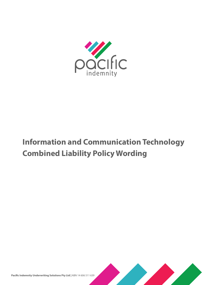

# **Information and Communication Technology Combined Liability Policy Wording**

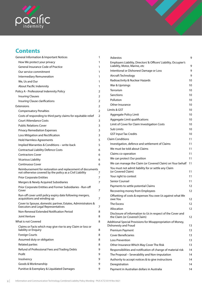

### **Contents**

| <b>General Information &amp; Important Notices</b>                                                                     | 1 |
|------------------------------------------------------------------------------------------------------------------------|---|
| How We protect your privacy                                                                                            | 1 |
| <b>General Insurance Code of Practice</b>                                                                              | 1 |
| Our service commitment                                                                                                 | 1 |
| Intermediary Remuneration                                                                                              | 1 |
| We, Us and Our                                                                                                         | 1 |
| <b>About Pacific Indemnity</b>                                                                                         | 1 |
| Policy A - Professional Indemnity Policy                                                                               | 2 |
| <b>Insuring Clauses</b>                                                                                                | 2 |
| Insuring Clause clarifications                                                                                         | 2 |
| Extensions                                                                                                             | 2 |
| <b>Compensatory Penalties</b>                                                                                          | 2 |
| Costs of responding to third party claims for equitable relief                                                         | 2 |
| <b>Court Attendance Costs</b>                                                                                          | 3 |
| <b>Public Relations Cover</b>                                                                                          | 3 |
| <b>Privacy Remediation Expenses</b>                                                                                    | 3 |
| Loss Mitigation and Rectification                                                                                      | 3 |
| <b>Hold Harmless Agreements</b>                                                                                        | 5 |
| Implied Warranties & Conditions - write-back                                                                           | 5 |
| <b>Contractual Liability Defence Costs</b>                                                                             | 6 |
| <b>Contractors Cover</b>                                                                                               | 6 |
| <b>Vicarious Liability</b>                                                                                             | 6 |
| <b>Continuous Cover</b>                                                                                                | 6 |
| Reimbursement for restoration and replacement of documents<br>not otherwise covered by the policy as a Civil Liability | 7 |
| <b>Prior Corporate Entities</b>                                                                                        | 7 |
| Mergers & Newly Acquired Subsidiaries                                                                                  | 7 |
| Prior Corporate Entities and Former Subsidiaries - Run-off<br>Cover                                                    | 7 |
| Run-off cover until policy expiry date following mergers,<br>acquisitions and winding up                               | 7 |
| Cover to Spouse, domestic partner, Estates, Administrators &<br>Executors and Legal Representatives                    | 7 |
| Non-Renewal Extended Notification Period                                                                               | 8 |
| Joint Venture                                                                                                          | 8 |
| What is not Covered                                                                                                    | 8 |
| Claims or Facts which may give rise to any Claim or loss or<br>liability or Enquiry                                    | 8 |
| <b>Foreign Courts</b>                                                                                                  | 8 |
| Assumed duty or obligation                                                                                             | 8 |
| Related parties                                                                                                        | 8 |
| Refund of Professional Fees and Trading Debts                                                                          | 9 |
| Profit                                                                                                                 | 9 |
| Insolvency                                                                                                             | 9 |
| Goods & Workmanship                                                                                                    | 9 |
| Punitive & Exemplary & Liquidated Damages                                                                              | 9 |

| Asbestos                                                                                           | 9  |
|----------------------------------------------------------------------------------------------------|----|
| Employers Liability, Directors' & Officers' Liability, Occupier's<br>Liability, Motor, Marine, etc | 9  |
| Intentional or Dishonest Damage or Loss                                                            | 9  |
| Aircraft Technology                                                                                | 9  |
| Radioactivity & Nuclear Hazards                                                                    | 10 |
| War & Uprisings                                                                                    | 10 |
| Terrorism                                                                                          | 10 |
| <b>Sanctions</b>                                                                                   | 10 |
| Pollution                                                                                          | 10 |
| Other Insurance                                                                                    | 10 |
| Limits & GST                                                                                       | 10 |
| Aggregate Policy Limit                                                                             | 10 |
| Aggregate Limit qualifications                                                                     | 10 |
| Limit of Cover for Claim Investigation Costs                                                       | 10 |
| <b>Sub Limits</b>                                                                                  | 10 |
| <b>GST Input Tax Credits</b>                                                                       | 10 |
| Claim Conditions                                                                                   | 11 |
| Investigation, defence and settlement of Claims                                                    | 11 |
| We must be told about Claims                                                                       | 11 |
| Claims co-operation                                                                                | 11 |
| We can protect Our position                                                                        | 11 |
| We can manage the Claim (or Covered Claim) on Your behalf                                          | 11 |
| You must not admit liability for or settle any Claim<br>(or Covered Claim)                         | 11 |
| Your right to contest                                                                              | 11 |
| Senior Counsel                                                                                     | 11 |
| Payments to settle potential Claims                                                                | 12 |
| Recovering money from Employees                                                                    | 12 |
| Offsetting of costs & expenses You owe Us against what We<br>owe You                               | 12 |
| The Excess                                                                                         | 12 |
| Allocation                                                                                         | 12 |
| Disclosure of information to Us in respect of the Cover and<br>the Claim (or Covered Claim)        | 12 |
| Additional Special Provisions for Misappropriation of Money,<br>Dishonesty and Fraud               | 13 |
| Premium Payment                                                                                    | 13 |
| <b>Cover Beneficiaries</b>                                                                         | 13 |
| Loss Prevention                                                                                    | 13 |
| Other Insurance Which May Cover The Risk                                                           | 13 |
| Responsibilities and notification of change of material risk                                       | 14 |
| The Proposal – Severability and Non-imputation                                                     | 14 |
| Authority to accept notices & to give instructions                                                 | 14 |
| Deregistration                                                                                     | 14 |
| Payment in Australian dollars in Australia                                                         | 14 |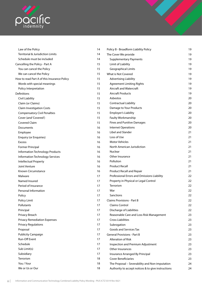

| Law of the Policy                           | 14 | Policy B - Broadform Liability Policy                                    | 19 |
|---------------------------------------------|----|--------------------------------------------------------------------------|----|
| Territorial & Jurisdiction Limits           | 14 | The Cover We provide                                                     | 19 |
| Schedule must be included                   | 14 | <b>Supplementary Payments</b>                                            | 19 |
| Cancelling the Policy - Part A              | 15 | Limit of Liability                                                       | 19 |
| You can cancel the Policy                   | 15 | <b>Geographical Limits</b>                                               | 19 |
| We can cancel the Policy                    | 15 | <b>What is Not Covered</b>                                               | 19 |
| How to read Part A of this Insurance Policy | 15 | <b>Advertising Liability</b>                                             | 19 |
| Words with special meanings                 | 15 | <b>Agreement Limiting Rights</b>                                         | 19 |
| Policy Interpretation                       | 15 | Aircraft and Watercraft                                                  | 19 |
| Definitions                                 | 15 | <b>Aircraft Products</b>                                                 | 19 |
| Civil Liability                             | 15 | Asbestos                                                                 | 20 |
| Claim (or Claims)                           | 15 | <b>Contractual Liability</b>                                             | 20 |
| <b>Claim Investigation Costs</b>            | 15 | Damage to Your Products                                                  | 20 |
| <b>Compensatory Civil Penalties</b>         | 15 | <b>Employer's Liability</b>                                              | 20 |
| Cover (and 'Covered')                       | 15 | Faulty Workmanship                                                       | 20 |
| <b>Covered Claim</b>                        | 15 | <b>Fines and Punitive Damages</b>                                        | 20 |
| Documents                                   | 16 | <b>Internet Operations</b>                                               | 20 |
| Employee                                    | 16 | Libel and Slander                                                        | 21 |
|                                             | 16 | Loss of Use                                                              | 21 |
| <b>Enquiry (or Enquiries)</b><br>Excess     | 16 | <b>Motor Vehicles</b>                                                    | 21 |
| <b>Former Principal</b>                     | 16 | North American Jurisdiction                                              | 21 |
| Information Technology Products             | 16 | Nuclear                                                                  | 21 |
|                                             | 16 | Other Insurance                                                          | 21 |
| Information Technology Services             | 16 | Pollution                                                                | 21 |
| Intellectual Property<br>Joint Venture      |    | <b>Product Recall</b>                                                    | 21 |
|                                             | 16 |                                                                          |    |
| Known Circumstance                          | 16 | Product Recall and Repair<br>Professional Errors and Omissions Liability | 21 |
| Malware<br>Named Insured                    | 17 |                                                                          | 22 |
| Period of Insurance                         | 17 | Property in Physical or Legal Control<br>Terrorism                       | 22 |
|                                             | 17 |                                                                          | 22 |
| Personal Information                        | 17 | War                                                                      | 22 |
| Policy                                      | 17 | Sanctions                                                                | 22 |
| Policy Limit                                | 17 | <b>Claims Provisions - Part B</b>                                        | 22 |
| Pollutants                                  | 17 | Claims Control                                                           | 22 |
| Principal                                   | 17 | Discharge of Liabilities                                                 | 22 |
| Privacy Breach                              | 17 | Reasonable Care and Loss Risk Management                                 | 23 |
| <b>Privacy Remediation Expenses</b>         | 17 | <b>Cross Liabilities</b>                                                 | 23 |
| <b>Privacy Regulations</b>                  | 17 | Subrogation                                                              | 23 |
| Proposal                                    | 17 | Goods and Services Tax                                                   | 23 |
| <b>Publicity Campaign</b>                   | 17 | <b>General Provisions - Part B</b>                                       | 23 |
| Run-Off Event                               | 17 | Alteration of Risk                                                       | 23 |
| Schedule                                    | 17 | Inspection and Premium Adjustment                                        | 23 |
| Sub Limit(s)                                | 17 | Other Insurances                                                         | 23 |
| Subsidiary                                  | 17 | Insurance Arranged By Principal                                          | 23 |
| Terrorism                                   | 18 | <b>Cover Beneficiaries</b>                                               | 23 |
| You / Your                                  | 18 | The Proposal - Severability and Non-imputation                           | 24 |
| We or Us or Our                             | 18 | Authority to accept notices & to give instructions                       | 24 |

| 4 | Policy B - Broadform Liability Policy          | 19 |
|---|------------------------------------------------|----|
| 4 | The Cover We provide                           | 19 |
| 4 | <b>Supplementary Payments</b>                  | 19 |
| 5 | Limit of Liability                             | 19 |
| 5 | <b>Geographical Limits</b>                     | 19 |
| 5 | <b>What is Not Covered</b>                     | 19 |
| 5 | <b>Advertising Liability</b>                   | 19 |
| 5 | <b>Agreement Limiting Rights</b>               | 19 |
| 5 | Aircraft and Watercraft                        | 19 |
| 5 | <b>Aircraft Products</b>                       | 19 |
| 5 | Asbestos                                       | 20 |
| 5 | Contractual Liability                          | 20 |
| 5 | Damage to Your Products                        | 20 |
| 5 | <b>Employer's Liability</b>                    | 20 |
| 5 | <b>Faulty Workmanship</b>                      | 20 |
| 5 | <b>Fines and Punitive Damages</b>              | 20 |
| 6 | Internet Operations                            | 20 |
| 6 | Libel and Slander                              | 21 |
| 6 | Loss of Use                                    | 21 |
| 6 | <b>Motor Vehicles</b>                          | 21 |
| 6 | North American Jurisdiction                    | 21 |
| 6 | Nuclear                                        | 21 |
| 6 | Other Insurance                                | 21 |
| 6 | Pollution                                      | 21 |
| 6 | <b>Product Recall</b>                          | 21 |
| 6 | <b>Product Recall and Repair</b>               | 21 |
| 7 | Professional Errors and Omissions Liability    | 22 |
| 7 | Property in Physical or Legal Control          | 22 |
| 7 | Terrorism                                      | 22 |
| 7 | War                                            | 22 |
| 7 | Sanctions                                      | 22 |
| 7 | Claims Provisions - Part B                     | 22 |
| 7 | Claims Control                                 | 22 |
| 7 | Discharge of Liabilities                       | 22 |
| 7 | Reasonable Care and Loss Risk Management       | 23 |
| 7 | <b>Cross Liabilities</b>                       | 23 |
| 7 | Subrogation                                    | 23 |
| 7 | <b>Goods and Services Tax</b>                  | 23 |
| 7 | <b>General Provisions - Part B</b>             | 23 |
| 7 | <b>Alteration of Risk</b>                      | 23 |
| 7 | <b>Inspection and Premium Adjustment</b>       | 23 |
| 7 | <b>Other Insurances</b>                        | 23 |
| 7 | Insurance Arranged By Principal                | 23 |
| 8 | <b>Cover Beneficiaries</b>                     | 23 |
| 8 | The Proposal - Severability and Non-imputation | 24 |
|   |                                                |    |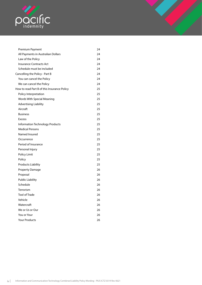

| Premium Payment                             | 24 |
|---------------------------------------------|----|
| All Payments in Australian Dollars          | 24 |
| Law of the Policy                           | 24 |
| <b>Insurance Contracts Act</b>              | 24 |
| Schedule must be included                   | 24 |
| Cancelling the Policy - Part B              | 24 |
| You can cancel the Policy                   | 24 |
| We can cancel the Policy                    | 24 |
| How to read Part B of this Insurance Policy | 25 |
| Policy Interpretation                       | 25 |
| <b>Words With Special Meaning</b>           | 25 |
| Advertising Liability                       | 25 |
| Aircraft                                    | 25 |
| <b>Business</b>                             | 25 |
| <b>Excess</b>                               | 25 |
| Information Technology Products             | 25 |
| <b>Medical Persons</b>                      | 25 |
| Named Insured                               | 25 |
| Occurrence                                  | 25 |
| Period of Insurance                         | 25 |
| Personal Injury                             | 25 |
| Policy Limit                                | 25 |
| Policy                                      | 25 |
| Products Liability                          | 25 |
| <b>Property Damage</b>                      | 26 |
| Proposal                                    | 26 |
| <b>Public Liability</b>                     | 26 |
| Schedule                                    | 26 |
| Terrorism                                   | 26 |
| <b>Tool of Trade</b>                        | 26 |
| Vehicle                                     | 26 |
| Watercraft                                  | 26 |
| We or Us or Our                             | 26 |
| You or Your                                 | 26 |
| <b>Your Products</b>                        | 26 |
|                                             |    |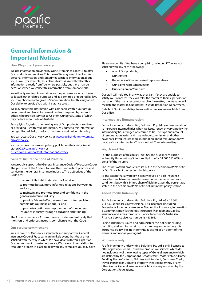<span id="page-4-0"></span>

### **General Information & Important Notices**

#### **How We protect your privacy**

We use information provided by Our customers to allow Us to offer Our products and services. This means We may need to collect Your personal information, and sometimes sensitive information about You as well (for example, Your claims history). We will collect this information directly from You where possible, but there may be occasions when We collect this information from someone else.

We will only use Your information for the purposes for which it was collected, other related purposes and as permitted or required by law. You may choose not to give Us Your information, but this may affect Our ability to provide You with insurance cover.

We may share this information with companies within Our group, government and law enforcement bodies if required by law and others who provide services to Us or on Our behalf, some of which may be located outside of Australia.

By applying for, using or renewing any of Our products or services, or providing Us with Your information, You agree to this information being collected, held, used and disclosed as set out in this policy.

You can access Our privacy policy at www.pacificindemnity.com.au/ privacy-policy.

You can access the Insurers privacy policies on their websites at either: CGU.com.au/privacy or zurich.com.au/important-information/privacy

#### **General Insurance Code of Practice**

We proudly support the General Insurance Code of Practice (Code). The purpose of the Code is to raise the standards of practice and service in the general insurance industry. The objectives of the Code are:

- to commit Us to high standards of service;
- to promote better, more-informed relations between us and you;
- to maintain and promote trust and confidence in the general insurance industry;
- to provide fair and effective mechanisms for resolving complaints You make about Us; and
- to promote continuous improvement of the general insurance industry through education and training.

The Code Governance Committee is an independent body that monitors and enforces insurers' compliance with the Code.

#### **Our service commitment**

We are proud of Our service standards and support the General Insurance Code of Practice. In an unlikely event that You are not satisfied with the way in which We have dealt with You, as part of Our commitment to customer service, We have an internal dispute resolution process in place to deal with any complaint You may have. Please contact Us if You have a complaint, including if You are not satisfied with any of the following:

- one of Our products;
- Our service;
- the service of Our authorised representatives:
- Our claims representatives; or
- Our decision on Your claim.

Our staff will help You in any way they can. If they are unable to satisfy Your concerns, they will refer the matter to their supervisor or manager. If the manager cannot resolve the matter, the manager will escalate the matter to Our Internal Dispute Resolution Department.

Details of Our internal dispute resolution process are available from Our office.

#### **Intermediary Remuneration**

Pacific Indemnity Underwriting Solutions Pty Ltd pays remuneration to insurance intermediaries when We issue, renew or vary a policy the intermediary has arranged or referred to Us. The type and amount of remuneration varies and may include commission and other payments. If You require more information about remuneration We may pay Your intermediary You should ask Your intermediary.

#### **We**, **Us and Our**

For the purposes of this policy, 'We', 'Us', and 'Our' means Pacific Indemnity Underwriting Solutions Pty Ltd ABN 14 606 511 639 - on behalf of the Insurers.

The Insurers of this product are set out in the definition of "We or Us or Our" in each of the sections in this policy.

To the extent that any policy is jointly issued on a co-insurance basis then each Insurer provides cover under the same terms and conditions but with a limited share of liability as per the percentage stated in the definition of "We or Us or Our" in that policy section.

#### **About Pacific Indemnity**

Pacific Indemnity Underwriting Solutions Pty Ltd, ABN 14 606 511 639, specialises in Professional Risk insurance (including Professional Indemnity Insurance, Malpractice Insurance, Information & Communication Technology Insurance, Management Liability Insurance and similar products). Pacific Indemnity's Australian Financial Service Licence number is 480863.

Pacific Indemnity issues and administers the policy (including handling and settlings claims). In arranging and effecting this insurance policy, Pacific Indemnity is acting as an agent of the Insurers and not as your agent.

#### **Wholesale only**

Pacific Indemnity Underwriting Solutions Pty Ltd is only licensed to offer or provide General Insurance products or services which do not include any of the following types of General Insurance (which are defined by the Corporations Act as "retail"): Motor Vehicle, Home Building, Home Contents, Sickness and Accident, Consumer Credit, Travel, Personal or Domestic Property, Medical Indemnity or any other kind of General Insurance which has been prescribed by the Corporations Regulations.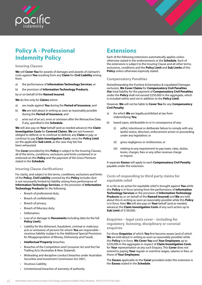<span id="page-5-0"></span>



### **Policy A - Professional Indemnity Policy**

#### **Insuring Clauses**

**We** will **Cover You** for awards of damages and awards of claimant's costs against **You** resulting from any **Claim** for **Civil Liability** arising from:

- a) the performance of **Information Technology Services**; or
- b) the provision of **Information Technology Products**.

by or on behalf of the **Named Insured**.

**We** do this only for **Claims** which:

- a) are made against **You** during the **Period of Insurance**; and
- b) **We** are told about in writing as soon as reasonably possible during the **Period of Insurance**; and
- c) arise out of an act, error or omission after the Retroactive Date, if any, specified in the **Schedule**.

**We** will also pay on **Your** behalf (and as needed advance) the **Claim Investigation Costs** for **Covered Claims**. **We** are not however obliged to defend, or to continue to defend, any **Claim** or pay, or continue to pay **Claim Investigation Costs**, once the **Policy Limit**  (or the applicable **Sub Limit**, as the case may be) has been exhausted.

The **Cover** provided by this **Policy** is subject to the Insuring Clauses, all of the terms, conditions, exclusions and limits contained in or endorsed on this **Policy** and the payment of the Gross Premium stated in the **Schedule**.

#### **Insuring Clause clarifications**

For clarity, and subject to the terms, conditions, exclusions and limits of the **Policy**, **Civil Liability** covered by this **Policy** includes (but is not necessarily limited to) liability arising from performance of **Information Technology Services**; or the provision of **Information Technology Products** for the following:

- Breach of professional duty;
- Breach of confidentiality;
- Breach of privacy;
- Breach of fiduciary duty;
- Defamation;
- Loss of or damage to **Documents** including data (to the full **Policy Limit**);
- Liability for the dishonest, fraudulent, criminal or malicious acts or omissions of persons for whom **You** are responsible – vicarious liability (subject to the Additional Special Provisions for Misappropriation of Money, Dishonesty and Fraud);
- **Intellectual Property** breaches;
- Breaches of the Competition and Consumer Act and the Fair Trading Acts (Australian & New Zealand);
- Misleading and deceptive conduct breaches under Australian Securities and Investment Commission Act 2001;
- Vicarious Liability;
- Unintentional breaches of warranty of authority.

### **Extensions**

Each of the following extensions automatically applies unless otherwise stated in the endorsements or the **Schedule**. Each of the extensions is subject to the Insuring Clause and all other terms, exclusions, conditions and the **Policy Limit** and **Sub Limits** of this **Policy** unless otherwise expressly stated.

#### **Compensatory Penalties**

Notwithstanding the Punitive & Exemplary & Liquidated Damages exclusion, **We Cover Claims** for **Compensatory Civil Penalties**. **Our** total liability for the payment of **Compensatory Civil Penalties** under the **Policy** shall not exceed \$250,000 in the aggregate, which is included within and not in addition to the **Policy Limit**.

However, **We** will not be liable to **Cover You** for any **Compensatory Civil Penalty**:

- a) for which **We** are legally prohibited at law from indemnifying **You**;
- b) based upon, attributable to or in consequence of any:
	- (i) wilful, intentional or deliberate failure to comply with any lawful notice, direction, enforcement action or proceeding under any legislation; or
	- (ii) gross negligence or recklessness; or
	- (iii) relating to any requirement to pay taxes, rates, duties, levies, charges, fees or any other revenue charge or impost.

A separate **Excess** will apply to each **Compensatory Civil Penalty** payable under this extension.

#### **Costs of responding to third party claims for equitable relief**

In so far as an action for equitable relief is brought against **You** while this **Policy** is in force (arising from the performance of **Information Technology Services** or the provision of **Information Technology Products** by or on behalf of the **Named Insured)** and **We** are told about this in writing as soon as reasonably possible while this **Policy** is in force, then **We** will also pay on **Your** behalf (and as needed, advance) the **Claim Investigation Costs** of any such action up to **Sub Limit** of \$100,000.

#### **Enquiries – legal costs cover – including for regulatory**, **licensing**, **disciplinary or coronial enquiries**

For those **Enquiries** of which **You** first become aware (and of which **We** are told about in writing as soon as reasonably possible) while this **Policy** is in force, **We Cover You** and **Your Employees** up to \$250,000 in the aggregate in respect of **Claim Investigation Costs** for **Your** representation at any such Enquiry. This **Cover** does not extend to paying **Your** regular or overtime wages, salaries or fees, or those of **Your Employees**.

The **Excess** applicable to the **Cover** provided under this extension is the **Excess** stated in the **Schedule**.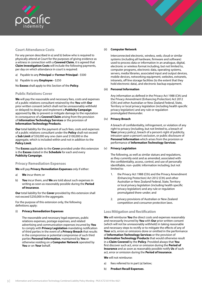<span id="page-6-0"></span>

#### **Court Attendance Costs**

For any person described in a) and b) below who is required to physically attend at Court for the purposes of giving evidence as a witness in connection with a **Covered Claim**, it is agreed that **Claim Investigation Costs** will include the following payments, per day on which attendance in court is required:

- a) Payable to any **Principal** or **Former Principal** \$500
- b) Payable to any **Employee** \$250

No **Excess** shall apply to this Section of the **Policy**.

#### **Public Relations Cover**

**We** will pay the reasonable and necessary fees, costs and expenses of a public relations consultant retained by the **You** with **Our** prior written consent (which shall not be unreasonably withheld or delayed) to design and implement a **Publicity Campaign** approved by **Us**, to prevent or mitigate damage to the reputation in consequence of a **Covered Claim** arising from the provision of **Information Technology Services** or the provision of **Information Technology Products**.

**Our** total liability for the payment of such fees, costs and expenses of a public relations consultant under the **Policy** shall not exceed a **Sub Limit** of \$50,000 any one claim and \$100,000 in the aggregate, which is included within and not in addition to the **Policy Limit**.

The **Excess** applicable to the **Cover** provided under this extension is the **Excess** stated in the **Schedule** for each and every **Publicity Campaign**.

#### **Privacy Remediation Expenses**

**We** will pay **Privacy Remediation Expenses** only if either:

- a) **We** incur them; or
- b) **You** incur them, and **We** are told about such expenses in writing as soon as reasonably possible during the **Period of Insurance**.

**Our** total liability for the **Cover** provided by this extension shall not exceed \$250,000 in the aggregate.

For the purpose of this extension only, the following definitions apply:

#### (i) **Privacy Remediation Expenses**

The reasonable and necessary legal expenses, public relations expenses, postage expenses, and related advertising and communication expenses incurred by **You** to comply with **Privacy Legislation** mandating notification of third parties in the event of a **Privacy Breach** that results in the compromise or potential compromise of such third parties **Personal Information**, maintained by **You** or otherwise residing on a **Computer Network** operated by **You** or on **Your** behalf.

#### (ii) **Computer Network**

Interconnected electronic, wireless, web, cloud or similar systems (including all hardware, firmware and software) used to process data or information in an analogue, digital, electronic or wireless format including, but not limited to, computer programs, electronic data, operating systems, servers, media libraries, associated input and output devices, mobile devices, networking equipment, websites, extranets, intranets, off line storage facilities (to the extent that they hold electronic data), and electronic backup equipment.

#### (iii) **Personal Information**

Any information as defined in the Privacy Act 1988 (Cth) and the Privacy Amendment (Enhancing Protection) Act 2012 (Cth) and other Australian or New Zealand Federal, State, Territory or local privacy legislation (including health specific privacy legislation) and any rule or regulation promulgated thereunder.

#### (iv) **Privacy Breach**

A breach of confidentiality, infringement, or violation of any right to privacy (including, but not limited to, a breach of **Your** privacy policy), breach of a person's right of publicity, intrusion upon a person's seclusion, or public disclosure of **Personal Information** which arises from the provision or performance of **Information Technology Services**.

#### (v) **Privacy Legislation**

The following, as well as similar statues and regulations, as they currently exist and as amended, associated with the confidentiality, access, control, and use of personally identifiable, non−public information including, but not limited to:

- 1. the Privacy Act 1988 (Cth) and the Privacy Amendment (Enhancing Protection) Act 2012 (Cth) and other Australian or New Zealand Federal, State, Territory or local privacy legislation (including health specific privacy legislation) and any rule or regulation promulgated there-under; and
- 2. privacy provisions of Australian or New Zealand competition and consumer protection laws.

#### **Loss Mitigation and Rectification**

**We** will reimburse **You** the direct costs and expenses reasonably and necessarily incurred by **You** with **Our** prior written consent (which will not be unreasonably withheld) in taking reasonable and necessary steps to rectify or to mitigate the effects of any of **Your** acts, errors or omissions done or omitted in the performance of **Information Technology Services** or the provision of **Information Technology Products** that would otherwise result in a **Claim Covered** by the **Policy**. Provided always that **You**  first discover such act, error or omission during the **Period of Insurance** and as soon as reasonably possible notify **Us** of such act, error or omission during the **Period of Insurance**.

**We** will not reimburse:

- a) fees referred to in part (a) below;
- b) **Product Recall Expenses**.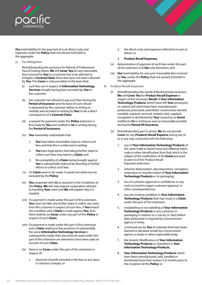

**Our** total liability for the payment of such direct costs and expenses under the **Policy** shall not exceed \$250,000 in the aggregate.

**a) Fee Mitigation** 

Notwithstanding the exclusion for Refund of Professional Fees & Trading Debts, **We** will **Cover You** for any reasonable fees invoiced by **You** to a customer but in an attempt to mitigate a **Covered Claim** these fees have not been collected by **You**. This **Cover** is only provided on the basis that:

- such fees are in respect of **Information Technology Services** actually having been provided by **You** to the customer;
- (ii) the customer has refused to pay such fees during the **Period of Insurance** and the basis of such refusal is expressed by the customer (either in writing or verbally and recorded in writing by **You**) to be a direct consequence of a **Covered Claim**;
- (iii) a request for payment under this **Policy** extension is first made by **You** and notified to **Us** in writing during the **Period of Insurance**;
- (iv) **You** reasonably substantiate that:
	- 1. **You** have taken reasonable steps to collect such fees and that this is evidenced in writing;
	- 2. **You** have legal advice that taking further steps to collect such fees may lead to a **Claim**; and
	- 3. the probability of a **Claim** being brought against **You** is substantially reduced by desisting in further efforts to collect such fees.
- (v) if a **Claim** were to be made, it would not otherwise be excluded by the **Policy**;
- (vi) **You** cooperate with **Us** as required in the Conditions of this **Policy**. **We** will only request cooperation relevant to handling **Your** claim and **We** will explain why it is needed;
- (vii) if a payment is made under this part of this extension, **You** must not take any further steps to collect any sums from the customer in respect of such fees. If **You** breach this condition and a **Claim** is made against **You**, then there shall be no **Cover** under any part of this **Policy** in respect of such **Claim**;
- (viii) if a payment is made under this part of this extension and a **Claim** relating to the provision of substantially the same **Information Technology Services** is subsequently made, then any amounts paid under this part of this extension are deemed to have been paid on account of such **Claim**;
- (ix) there is no **Cover** under this part of this extension in respect of:
	- 1. elements of profit included in the fees or any taxes or statutory charges; or

2. the direct costs and expenses referred to in part a) above; or

#### 3. **Product Recall Expenses**;

- (x) determination of payment of such fees under this part of the extension is at **Our** sole discretion; and
- (xi) **Our** total liability, for any such reasonable fees invoiced by **You**, under the **Policy** shall not exceed \$250,000 in the aggregate.
- **b) Product Recall Expenses** 
	- (i) Notwithstanding the Goods & Workmanship exclusion, **We** will **Cover You** for **Product Recall Expense** in respect of the necessary **Recall** of **Your Information Technology Products** (which have left **Your** possession or control and which have been manufactured, produced, processed, assembled, constructed, erected, installed, repaired, serviced, treated, sold, supplied, resupplied or distributed by **You)** caused by an **Event** notified to **Us** in writing as soon as reasonably possible during the **Period Of Insurance**.
	- (ii) Notwithstanding part (i) above, **We** do not provide **Cover** for any **Products Recall Expense** arising out of or in any way connected with the following:
		- 1. any of **Your Information Technology Products** of the same trade or brand name but different batch, code or other identification from that which is the subject of the notification of the **Event** pursuant to part (i) of this Product Recall Expenses extension;
		- 2. inherent deterioration, decomposition, corruption, maturation or transformation of **Your Information Technology Products** or its packaging;
		- 3. loss of customer approval or confidence, or any costs incurred to regain customer approval, or other consequential loss;
		- 4. any pre-existing condition in **Your Information Technology Products** that may result in a **Claim** under this part of this extension;
		- 5. mislabelling or non-labelling of **Your Information Technology Products** or any container or packaging in relation to a 'use by' or 'best before' date authorised or required by a Government agency or body;
		- 6. continued use by **You** of materials that have been banned or declared unsafe by a Government agency or body or other responsible body;
		- 7. the Genetic Modification of **Your Information Technology Products** or ingredient in **Your Information Technology Products**;
		- 8. **Your Information Technology Products** which have been manufactured, sold, handled or distributed more than twelve (12) months prior to the inception of this **Policy**; or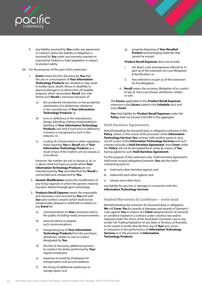<span id="page-8-0"></span>

- 9. any liability assumed by **You** under any agreement or contract unless the liability or obligation is assumed by **You** under any warranty required or imposed by Federal or State legislation in respect to product safety.
- (iii) For the purposes of this part of this extension:
	- 1. **Event** means the first discovery by **You** that the use or consumption of **Your Information Technology Products** has resulted or may result in bodily injury, death, illness or disability or physical damage to or destruction of tangible property which necessitates **Recall**, but only where such **Recall** is necessary because of:
		- a) the accidental introduction or the accidental substitution of a deleterious substance in the manufacture of **Your Information Technology Products**; or
		- b) error or deficiency in the manufacture, design, blending, mixing compounding or labelling of **Your Information Technology Products**, but only if such error or deficiency is known or recognised as such in the industry; or
		- c) a ruling of a Government or other regulatory body requiring **You** to **Recall** any of **Your Information Technology Products** as a result of any of the matters set out clauses a) or b) above.

However, the matters set out in clauses a), b), or c) above need not have occurred where **Your Information Technology Products** are not manufactured by **You**, provided that the **Recall** is unintended and unexpected by **You**.

- 2. **Genetic Modification** means the modification of any living organism in which the genetic material has been altered through gene technology.
- 3. **Products Recall Expense** means the reasonable and necessary costs incurred by **You** and with **Our** prior written consent (which shall not be unreasonably delayed or withheld) in relation to any **Event** for:
	- a) communications to **Your** customers and to the public including media announcements;
	- b) external advice to prepare such communications;
	- c) transporting any of **Your Information Technology Products** from the purchaser, distributor, retailer or user to a place designated by **You**;
	- d) the hire of necessary additional persons to conduct the duties performed by **Your** regular employees;
	- e) expenses incurred by employees for transportation and accommodation;
	- f) the hiring of additional warehouse or storage space; and

g) properly disposing of **Your Recalled Product** and packaging materials that cannot be reused.

#### **Product Recall Expenses** does not include:

- i. the direct costs and expenses referred to in part (a) of this extension for Loss Mitigation & Rectification; or
- ii. fees referred to in part (a) of this extension for Fee Mitigation.
- 4. **Recall** means the recovery, Mitigation of or control of any of from a purchaser, distributor, retailer or user.

The **Excess** applicable to this **Product Recall Expenses** extension is the **Excess** stated in the **Schedule** each and every **Event**.

**Our** total liability for **Product Recall Expenses** under the **Policy** shall not exceed \$250,000 in the aggregate.

#### **Hold Harmless Agreements**

Notwithstanding the Assumed duty or obligation exclusion in this **Policy**, where, in the course of the provision of the **Information Technology Services You** contract with another party to carry out all or part of the **Information Technology Services** and such contract includes a **Hold Harmless Agreement**, then **Cover** under this **Policy** will not be derogated from solely by reason of **You** having agreed to such **Hold Harmless Agreement**.

For the purpose of this extension only, 'Hold Harmless Agreement' shall mean mutual obligations between **You** and the other contracting party to:

- a) hold each other harmless against; and
- b) indemnify each other against; and
- c) release each other from,

any liability for any loss or damage in connection with the **Information Technology Services**.

#### **Implied Warranties & Conditions – write-back**

Notwithstanding the exclusion for Assumed duty or obligation, **We** will **Cover You** for awards of damages and awards of claimant's costs against **You** in respect of a **Claim** alleging breach of warranty or condition implied in a contract under common law and/or imposed under the terms of the Australian Consumer Law or any similar Fair Trading legislation of any State or Territory of Australia, to the extent it results directly from any of **Your** acts, errors or omissions in the performance of **Information Technology Services** or in the provision of **Information Technology Products**.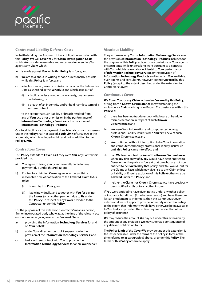<span id="page-9-0"></span>

#### **Contractual Liability Defence Costs**

Notwithstanding the Assumed duty or obligation exclusion within this **Policy**, **We** will **Cover You** for **Claim Investigation Costs**  which **We** consider reasonable and necessary in defending **You**  against any **Claim** which:

- a) is made against **You** while this **Policy** is in force; and
- b) **We** are told about in writing as soon as reasonably possible while this **Policy** is in force; and
- c) arise from an act, error or omission on or after the Retroactive Date as specified in the **Schedule** and which arise out of:
	- (i) a liability under a contractual warranty, guarantee or undertaking; or
	- (ii) a breach of an indemnity and/or hold harmless term of a written contract

to the extent that such liability or breach resulted from any of **Your** act, error or omission in the performance of **Information Technology Services** or the provision of **Information Technology Products**.

**Our** total liability for the payment of such legal costs and expenses under the **Policy** shall not exceed a **Sub Limit** of \$100,000 in the aggregate, which is included within and not in addition to the **Policy Limit**.

#### **Contractors Cover**

This **Policy** extends to **Cover**, as if they were **You**, any Contractors provided that:

- a) **You** agree to being jointly and severally liable for any payment due under this **Policy**; and
- b) Contractors claiming **Cover** agree in writing within a reasonable time of notification of the **Covered Claim** to **Us** to be:
	- (i) bound by this **Policy**; and
	- (ii) liable individually, and together with **You** for paying the **Excess** (or any other payment due to **Us** under this **Policy**) in respect of any **Cover** provided to the Contractor under this **Policy**.

For the purposes of this extension 'Contractor' means a person, firm or incorporated body who was, at the time of the relevant act, error or omission giving rise to the **Covered Claim**:

- a) providing the **Information Technology Services** for and on **Your** behalf;
- b) under **Your** direction, control & supervision in the provision of the **Information Technology Services**; and
- c) had a written contract with **You** to provide the **Information Technology Services** for or on **Your** behalf.

#### **Vicarious Liability**

The performance by **You** of **Information Technology Services** or the provision of **Information Technology Products** includes, for the purpose of this **Policy**, acts, errors or omissions of **Your** agents or consultants while undertaking work pursuant to a contract with **You** which is reasonably incidental to **Your** performance of **Information Technology Services** or the provision of **Information Technology Products** and for which **You** are liable. Such agents and consultants, however, are not **Covered** by this **Policy** (except to the extent described under the extension for Contractors Cover).

#### **Continuous Cover**

**We Cover You** for any **Claim**, otherwise **Covered** by this **Policy**, arising from a **Known Circumstance** (notwithstanding the exclusion for **Claims** arising from Known Circumstances within this **Policy**) if:

- a) there has been no fraudulent non-disclosure or fraudulent misrepresentation in respect of such **Known Circumstance**; and
- b) **We** were **Your** information and computer technology professional liability insurer when **You** first knew of such **Known Circumstance**; and
- c) **We** continued without interruption to be **Your** information and computer technology professional liability insurer up until this **Policy** came into effect; and
- d) had **We** been notified by **You** of the **Known Circumstance**  when **You** first knew of it, **You** would have been entitled to **Cover** under the policy in force at that time but are not now entitled to be **Covered** by that policy, and **You** would (but for the Claims or Facts which may give rise to any Claim or loss or liability or Enquiry exclusion of this **Policy**) otherwise be **Covered** under this **Policy**; and
- e) neither the **Claim** nor **Known Circumstance** have previously been notified to **Us** or to any other insurer.

If **You** were entitled to have given notice under any other policy of insurance but did not (for whatever reason) and have therefore lost an entitlement to indemnity, then this Continuous Cover extension does not apply to provide indemnity under this **Policy** to the extent that indemnity would have otherwise been available to **You** had you provided the notice required under that other policy of insurance.

**We** may reduce the amount **We** pay out under this extension by the amount of any prejudice **We** may suffer as a consequence of any delayed notification to **Us**.

The **Policy Limit** of the **Cover We** provide under this extension is the lesser available under the terms of the policy in force at the time referred to in paragraph d) above, or under this **Policy**. The terms of this **Policy** otherwise apply.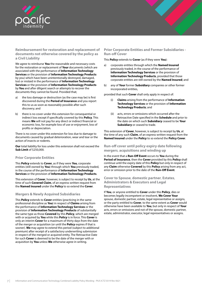<span id="page-10-0"></span>

**Reimbursement for restoration and replacement of documents not otherwise covered by the policy as a Civil Liability**

We agree to reimburse **You** the reasonable and necessary costs for the restoration or replacement of **Your** documents (which are associated with the performance of **Information Technology Services** or the provision of **Information Technology Products**  by you) which have been unintentionally destroyed, damaged, lost or mislaid in the performance of **Information Technology Services** or the provision of **Information Technology Products**  by **You** and after diligent search or attempts to recover the documents they cannot be found. Provided that;

- a) the loss damage or destruction (as the case may be) is first discovered during the **Period of Insurance** and you report this to us as soon as reasonably possible after such discovery; and
- b) there is no cover under this extension for consequential or indirect loss except if specifically covered by this **Policy**. This means **We** will not pay for any direct or indirect financial or economic loss, for example loss of use or enjoyment, loss of profits or depreciation.

There is no cover under this extension for loss due to damage to documents caused by gradual deterioration, wear and tear or the action of insects or rodents.

**Our** total liability for loss under this extension shall not exceed the **Sub Limit** of \$250,000.

#### **Prior Corporate Entities**

This **Policy** extends to **Cover**, as if they were **You**, corporate entities (still owned by **You**) through which **You** previously traded, in the course of the performance of **Information Technology Services** or the provision of **Information Technology Products**.

This extension of **Cover**, however, is subject to receipt by **Us**, at the time of such **Covered Claim**, of an express written request from the **Named Insured** under the **Policy** to so extend the **Cover**.

#### **Mergers & Newly Acquired Subsidiaries**

This **Policy** extends to **Cover** entities (practicing in the same professional discipline as **You**) in respect of **Claims** arising from the performance of **Information Technology Services** or the provision of **Information Technology Products** of substantially the same type as those **Covered** by this **Policy**, which are merged with or acquired by **You** while this **Policy** is in force. This **Cover** is only an interim **Cover** for a maximum of thirty days from the date of the merger or acquisition (or until the **Policy** expires if that is sooner). **We** may agree to extend this period (subject to additional premium) after receipt of a satisfactory underwriting submission in respect of the merged or acquired entity. The Retroactive Date for such **Cover** is deemed to be the date of the merger with or acquisition by **You** unless **We** otherwise agree in writing.

#### **Prior Corporate Entities and Former Subsidiaries - Run-off Cover**

This **Policy** extends to **Cover** (as if they were **You**):

- a) corporate entities through which the **Named Insured** previously traded, in the course of the performance of **Information Technology Services** or the provision of **Information Technology Products**, provided that those corporate entities are still owned by the **Named Insured**; and
- b) any of **Your** former **Subsidiary** companies or other former incorporated entities,

provided that such **Cover** shall only apply in respect of:

- (i) **Claims** arising from the performance of **Information Technology Services** or the provision of **Information Technology Products**; and
- (ii) acts, errors or omissions which occurred after the Retroactive Date specified in the **Schedule** and prior to the date on which such **Subsidiary** ceased to be **Your Subsidiary** or ceased to trade.

This extension of **Cover**, however, is subject to receipt by **Us**, at the time of any such **Claim**, of an express written request from the **Named Insured** under the **Policy** to so extend the **Policy Cover**.

#### **Run-off cover until policy expiry date following mergers**, **acquisitions and winding up**

In the event that a **Run-Off Event** occurs to **You** during the **Period of Insurance**, then the **Cover** provided by this **Policy** shall continue until the expiry date of this **Policy** but only in respect of any **Claim** otherwise **Covered** by this **Policy** arising from any act, error or omission prior to the date of the **Run-Off Event**.

**Cover to Spouse**, **domestic partner**, **Estates**, **Administrators & Executors and Legal Representatives**

If **You**, or anyone entitled to **Cover** under this **Policy**, dies or becomes legally incompetent or insolvent, **We Cover Your** spouse, domestic partner, estate, legal representative or assigns, or the party entitled to **Cover**, to the same extent as **Cover** would otherwise have been available to **You**, but only in respect of **Your** acts, errors or omissions and not of the spouse, domestic partner, estate, administrator, executor, legal representatives or assigns.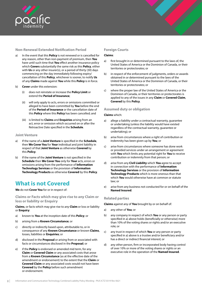<span id="page-11-0"></span>

### **Non-Renewal Extended Notification Period**

- a) In the event that this **Policy** is not renewed or is cancelled for any reason, other than non-payment of premium, then **You**  have until such time that **You** effect another insurance policy which **Covers** substantially the same risk as this **Policy**, either with **Us** or any other insurer(s), or a period of thirty (30) days commencing on the day immediately following expiry/ cancellation of this **Policy**, whichever is sooner, to notify **Us**  of any **Claims** made against **You** while this **Policy** is in force.
- b) **Cover** under this extension:
	- (i) does not reinstate or increase the **Policy Limit** or extend the **Period of Insurance**;
	- (ii) will only apply to acts, errors or omissions committed or alleged to have been committed by **You** before the end of the **Period of Insurance** or the cancellation date of this **Policy** where this **Policy** has been cancelled; and
	- (iii) is limited to **Claims** and **Enquiries** arising from an act, error or omission which occurred on or after the Retroactive Date specified in the **Schedule**.

#### **Joint Venture**

- a) If the name of a **Joint Venture** is specified in the **Schedule**, then **We Cover You** for **Your** individual and joint liability in respect of that **Joint Venture** as otherwise **Covered** by this **Policy**.
- b) If the name of the **Joint Venture** is not specified in the **Schedule** then **We Cover You** only for **Your** acts, errors or omissions arising from the performance of **Information Technology Services** or the provision of **Information Technology Products** as otherwise **Covered** by this **Policy**.

### **What is not Covered**

**We** do not **Cover You** for or in respect of:

**Claims or Facts which may give rise to any Claim or loss or liability or Enquiry**

**Claims**, or facts which may give rise to any **Claim** or loss or liability or **Enquiry**:

- a) known to **You** at the inception date of this **Policy**; or
- b) arising from a **Known Circumstance**; or
- c) directly or indirectly based upon, attributable to, or in consequence of any **Known Circumstance** or known **Claims**, losses, liabilities or **Enquiries**; or
- d) disclosed in the **Proposal** or arising from or associated with facts or circumstances disclosed in the **Proposal**; or
- e) if the **Policy** is endorsed or amended mid term, for any **Claim** or **Covered Claim** or any associated costs that arose from a **Known Circumstance** (as at the effective date of the amendment or endorsement) to the extent that the **Claim** or **Covered Claim** or any associated costs would not have been **Covered** by the **Policy** before such amendment or endorsement.

#### **Foreign Courts**

#### **Claims**:

- a) first brought in or determined pursuant to the laws of, the United States of America or the Dominion of Canada, or their territories or protectorates; or
- b) in respect of the enforcement of judgments, orders or awards obtained in or determined pursuant to the laws of the United States of America or the Dominion of Canada, or their territories or protectorates; or
- c) where the proper law of the United States of America or the Dominion of Canada, or their territories or protectorates is applied to any of the issues in any **Claim** or **Covered Claim**, **Covered** by this **Policy**.

#### **Assumed duty or obligation**

#### **Claims** which:

- a) allege a liability under a contractual warranty, guarantee or undertaking (unless the liability would have existed regardless of the contractual warranty, guarantee or undertaking); or
- b) arise from circumstances where a right of contribution or indemnity has been given up by **You**; or
- c) arise from circumstances where someone has done work or provided services under an arrangement or agreement with **You** which limits any potential right for **You** to receive contribution or indemnity from that person; or
- d) arise from any **Civil Liability** which **You** agree to accept in connection with the performance of **Information Technology Services** or the provision of **Information Technology Products** which is more onerous than that which **You** would otherwise have at common or statute law; or
- e) arise from any business not conducted for or on behalf of the **Named Insured**.

#### **Related parties**

**Claims** against any of **You** brought by or on behalf of:

- a) any other of **You**; or
- b) any company in respect of which **You** or any person or party specified in a) above holds (beneficially or otherwise) more than 10% of the voting shares or rights and/or an executive role; or
- c) any trust in respect of which **You** or any person or party specified in a) above is a trustee and/or beneficiary and/or has a direct or indirect financial interest; or
- d) any other person, firm or incorporated body having control of over 10% or more of the voting shares or rights or an executive role in the operation of the **Named Insured**.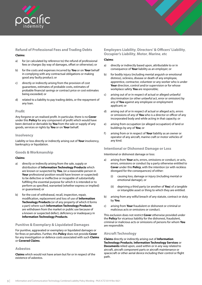<span id="page-12-0"></span>



#### **Claims**:

- a) for (or calculated by reference to) the refund of professional fees or charges (by way of damages, offset or otherwise); or
- b) for the costs and expenses incurred by **You** or on **Your** behalf in complying with any contractual obligations or making good any faulty product; or
- c) directly or indirectly arising from the provision of cost guarantees, estimates of probable costs, estimates of probable financial savings or contract price or cost estimates being exceeded; or
- d) related to a liability to pay trading debts, or the repayment of any loan.

#### **Profit**

Any forgone or un-realised profit. In particular, there is no **Cover**  under this **Policy** for any component of profit which would have been derived or derivable by **You** from the sale or supply of any goods, services or rights by **You** or on **Your** behalf.

#### **Insolvency**

Liability or loss directly or indirectly arising out of **Your** insolvency, bankruptcy or liquidation.

#### **Goods & Workmanship**

#### **Claims**:

- a) directly or indirectly arising from the sale, supply or distribution of **Information Technology Products** which are known or suspected by **You**, (or a reasonable person in Your professional position would have known or suspected) to be defective or ineffective or incapable of substantially fulfilling the essential purpose for which it is intended or to perform as specified, warranted (whether express or implied) or guaranteed; or
- b) for the cost of withdrawal, recall, inspection, repair, modification, replacement and loss of use of **Information Technology Products** (or of any property of which it forms a part) where such **Information Technology Products**  are withdrawn from the market or public use because of a known or suspected defect, deficiency or inadequacy in **Information Technology Products**.

#### **Punitive & Exemplary & Liquidated Damages**

For punitive, aggravated or exemplary or liquidated damages or for fines or penalties. Further, this **Policy** does not provide **Cover** for any investigation or defence costs associated with such **Claims** or **Covered Claims**.

#### **Asbestos**

**Claims** which would not have arisen but for or in respect of the existence of asbestos.

#### **Employers Liability**, **Directors' & Officers' Liability**, **Occupier's Liability**, **Motor**, **Marine**, **etc**

#### **Claims**:

- a) directly or indirectly based upon, attributable to or in consequence of **Your** liability as an employer; or
- b) for bodily injury (including mental anguish or emotional distress), sickness, disease or death of any employee, apprentice, contractor, volunteer or any worker who is under **Your** direction, control and/or supervision or for whose workplace safety **You** are responsible;
- c) arising out of or in respect of actual or alleged unlawful discrimination (or other unlawful act, error or omission) by any of **You** against any employee or employment applicant; or
- d) arising out of or in respect of actual or alleged acts, errors or omissions of any of **You** who is a director or officer of any incorporated body and while acting in that capacity; or
- e) arising from occupation (or alleged occupation) of land or buildings by any of **You**; or
- f) arising from or in respect of **Your** liability as an owner or operator of any aircraft, marine craft or motor vehicles of any kind.

#### **Intentional or Dishonest Damage or Loss**

Intentional or dishonest damage or loss:

- a) arising from **Your** acts, errors, omissions or conduct, or acts, errors, omissions or conduct by a party otherwise entitled to **Cover** under this **Policy**, with the intention (or with reckless disregard for the consequences) of either:
	- (i) causing loss, damage or injury (including mental or emotional damage), or
	- (ii) depriving a third party (or another of **You**) of a tangible or intangible asset or thing to which they are entitled.
- b) arising from any wilful breach of any statute, contract or duty by **You**.
- c) arising from **Your** fraudulent or dishonest or criminal or malicious acts or omissions or conduct.

This exclusion does not restrict **Cover** otherwise provided under the **Policy** for vicarious liability for the dishonest, fraudulent, criminal or malicious acts or omissions of persons for whom **You** are responsible.

#### **Aircraft Technology**

**Claims** directly or indirectly arising out of **Information Technology Products**, **Information Technology Services** or **Documents** relied upon, used within or in any way related to aircraft, aircraft component parts or aircraft maintenance or spacecraft or other aerial device including their control or flight path.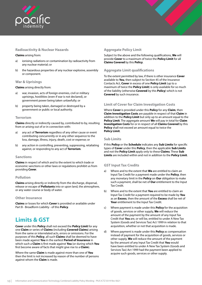<span id="page-13-0"></span>

### **Radioactivity & Nuclear Hazards**

#### **Claims** arising from:

- a) ionising radiations or contamination by radioactivity from any nuclear material; or
- b) the hazardous properties of any nuclear explosive, assembly or component.

#### **War & Uprisings**

**Claims** arising directly from:

- a) war, invasion, acts of foreign enemies, civil or military uprisings, hostilities (even if war is not declared), or government power being taken unlawfully; or
- b) property being taken, damaged or destroyed by a government or public or local authority.

#### **Terrorism**

**Claims** directly or indirectly caused by, contributed to by, resulting from or arising out of or in connection with:

- a) any act of **Terrorism** regardless of any other cause or event contributing concurrently or in any other sequence to the loss, damage, illness, injury, death, cost or expense; or
- b) any action in controlling, preventing, suppressing, retaliating against, or responding to any act of **Terrorism**.

#### **Sanctions**

**Claims** in respect of which and to the extent to which trade or economic sanctions or other laws or regulations prohibit us from providing **Cover**.

#### **Pollution**

**Claims** arising directly or indirectly from the discharge, dispersal, release or escape of **Pollutants** into or upon land, the atmosphere, or any water course or body of water.

#### **Other Insurance**

**Claims** or losses for which **Cover** is provided or available under Part B - Broadform Liability - of this **Policy**.

### **Limits & GST**

**Cover** under this **Policy** shall not exceed the **Policy Limit** for any one **Claim** or series of **Claims** (including **Covered Claims**) arising from the same or interrelated acts, errors or omissions. For the purposes of this **Policy**, all such **Claims** shall be deemed to have been made against **You** in the earliest **Period of Insurance** in which such a **Claim** is first made against **You** (or during which **You** first become aware of facts that might give rise to a **Claim**).

Where the same **Claim** is made against more than one of **You** then the limit is not increased by reason of the number of persons against whom the **Claim** is made.

#### **Aggregate Policy Limit**

Subject to the above and the following qualifications, **We** will provide **Cover** to a maximum of twice the **Policy Limit** for all **Claims Covered** by this **Policy**.

#### **Aggregate Limit qualifications**

To the extent permitted by law, if there is other insurance **Cover** available to **You**, then subject to Section 45 of the Insurance Contacts Act, **Cover** in excess of one **Policy Limit** (up to a maximum of twice the **Policy Limit**) is only available for so much of the liability (otherwise **Covered** by this **Policy**) which is not **Covered** by such insurance.

#### **Limit of Cover for Claim Investigation Costs**

Where **Cover** is provided under this **Policy** for any **Claim**, then **Claim Investigation Costs** are payable in respect of that **Claim** in addition to the **Policy Limit** but only up to an amount equal to the **Policy Limit**. The aggregate amount **We** will pay in total for **Claim Investigation Costs** for or in respect of all **Claims Covered** by this **Policy** shall not exceed an amount equal to twice the **Policy Limit**.

#### **Sub Limits**

If this **Policy** or the **Schedule** indicates any **Sub Limits** for specific types of **Cover** under this **Policy**, then the applicable **Sub Limits**  and not the **Policy Limit** apply only to these **Claims**. These **Sub Limits** are included within and not in addition to the **Policy Limit**.

#### **GST Input Tax Credits**

- a) Where and to the extent that **We** are entitled to claim an Input Tax Credit for a payment made under the **Policy**, then any monetary limit in the **Policy** on **Our** obligation to make such a payment, shall be net of **Our** entitlement to the Input Tax Credit.
- b) Where and to the extent that **You** are entitled to claim an Input Tax Credit for a payment required to be made by **You**  as an **Excess**, then the amount of the **Excess** shall be net of **Your** entitlement to the Input Tax Credit.
- c) Where payment is made under this **Policy** for the acquisition of goods, services or other supply, **We** will reduce the amount of the payment by the amount of any Input Tax Credit that **You** are, or will be, entitled to under A New Tax System (Goods and Services Tax) Act 1999 in relation to that acquisition, whether or not that acquisition is made.
- d) Where payment is made under this **Policy** as compensation instead of payment for the acquisition of goods, services or other supply, **We** will reduce the amount of the payment by the amount of any Input Tax Credit that **You** would have been entitled to under A New Tax System (Goods and Services Tax) Act 1999 had the payment been applied to acquire such goods, services or other supply.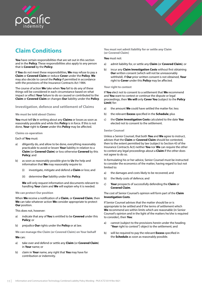<span id="page-14-0"></span>

## **Claim Conditions**

**You** have certain responsibilities that are set out in this section and in the **Policy**. These responsibilities also apply to any person that is **Covered** by the **Policy**.

If **You** do not meet these responsibilities, **We** may refuse to pay a **Claim** or **Covered Claim** or reduce **Cover** under the **Policy**. **We** may also decide to cancel the **Policy** if permitted in accordance with the provisions of the Insurance Contracts Act 1984.

The course of action **We** take when **You** fail to do any of these things will be considered in each circumstance based on what impact or effect **Your** failure to do so caused or contributed to the **Claim** or **Covered Claim** or changes **Our** liability under the **Policy**.

#### **Investigation**, **defence and settlement of Claims**

#### **We must be told about Claims**

**You** must tell **Us** in writing about any **Claims** or losses as soon as reasonably possible and while this **Policy** is in force. If this is not done, **Your** right to **Cover** under this **Policy** may be affected.

#### **Claims co-operation**

Each of **You** must:

- a) diligently do, and allow to be done, everything reasonably practicable to avoid or lessen **Your** liability in relation to a **Claim** (or **Covered Claim**) or loss otherwise **Covered** by this **Policy**; and
- b) as soon as reasonably possible give to **Us** the help and information that **We** may reasonably require to:
	- (i) investigate, mitigate and defend a **Claim** or loss; and
	- (ii) determine **Our** liability under this **Policy**.

**We** will only request information and documents relevant to handling **Your** claim and **We** will explain why it is needed.

#### **We can protect Our position**

When **We** receive a notification of a **Claim**, or **Covered Claim**, then **We** can take whatever action **We** consider appropriate to protect **Our** position.

This does not, however:

- a) indicate that any of **You** is entitled to be **Covered** under this **Policy**; or
- b) prejudice **Our** rights under the **Policy** or at law.

**We can manage the Claim (or Covered Claim) on Your behalf**

#### **We** can:

- a) take over and defend or settle any **Claim** (or **Covered Claim**) in **Your** name; or
- b) claim in **Your** name, any right that **You** may have for contribution or indemnity.

**You must not admit liability for or settle any Claim (or Covered Claim)**

#### **You** must not:

- a) admit liability for, or settle any **Claim** (or **Covered Claim**); or
- b) incur any **Claim Investigation Costs** without first obtaining **Our** written consent (which will not be unreasonably withheld). If **Our** prior written consent is not obtained, **Your**  right to **Cover** under this **Policy** may be affected.

#### **Your right to contest**

If **You** elect not to consent to a settlement that **We** recommend and **You** want to contest or continue the dispute or legal proceedings, then **We will** only **Cover You** (subject to the **Policy Limit**) for:

- a) the amount **We** could have settled the matter for; less
- b) the relevant **Excess** specified in the **Schedule**; plus
- c) the **Claim Investigation Costs** calculated to the date **You**  elected not to consent to the settlement.

#### **Senior Counsel**

Unless a Senior Counsel, that both **You** and **We** agree to instruct, advises that the **Claim** or **Covered Claim** should be contested, then to the extent permitted by law (subject to Section 43 of the Insurance Contracts Act) neither **You** nor **We** can require the other to contest any legal proceedings about a **Claim** if the other does not agree to do so.

In formulating his or her advice, Senior Counsel must be instructed to consider the economics of the matter, having regard to but not limited to:

- a) the damages and costs likely to be recovered; and
- b) the likely costs of defence; and
- c) **Your** prospects of successfully defending the **Claim** or **Covered Claim**.

The cost of Senior Counsel's opinion will form part of the **Claim Investigation Costs**.

If Senior Counsel advises that the matter should be or is appropriate to be settled and if the terms of settlement which **We** recommend are within limits which are reasonable (in Senior Counsel's opinion and in the light of the matters he/she is required to consider), then **You**:

- a) cannot (subject to the provisions herein under the heading "**Your** right to contest") object to the settlement; and
- b) will be required to pay the relevant **Excess** specified in the **Schedule** as soon as reasonably possible.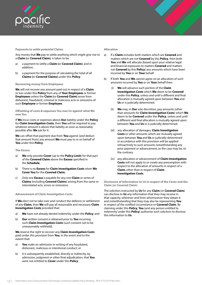<span id="page-15-0"></span>

#### **Payments to settle potential Claims**

Any money that **We** pay to settle anything which might give rise to a **Claim (**or **Covered Claim)**, is taken to be:

- a) a payment to settle a **Claim (**or **Covered Claim)**; and in addition,
- b) a payment for the purpose of calculating the total of all **Claims (**or **Covered Claims)** under this **Policy**.

#### **Recovering money from Employees**

**We** will not recover any amount paid out in respect of a **Claim**  or loss under this **Policy** from any of **Your Employees** or former **Employees** unless the **Claim (**or **Covered Claim)** arose from dishonest, fraudulent, criminal or malicious acts or omissions of such **Employee** or former **Employee**.

**Offsetting of costs & expenses You owe Us against what We owe You**

If **We** incur costs or expenses above **Our** liability under the **Policy**  for **Claim Investigation Costs**, then **You** will be required to pay whatever amount is above that liability as soon as reasonably possible after **We** ask for it.

**We** can offset that payment due from **You** against (and deduct that amount from) any amount **We** must pay to or on behalf of **You** under this **Policy**.

**The Excess**

- a) **We** only provide **Cover** (up to the **Policy Limit**) for that part of the **Covered Claim** above the **Excess** specified in the **Schedule**;
- b) There is no **Excess** for **Claim Investigation Costs** when **We Cover You** for the **Covered Claim**;
- c) Only one **Excess** is payable for any one **Claim** or series of **Claims** (including **Covered Claims**) arising from the same or interrelated acts, errors or omissions.

#### **Advancement of Claim Investigation Costs**

If **We** elect not to take over and conduct the defence or settlement of any **Claim**, then **We** will pay all reasonable and necessary **Claim Investigation Costs** provided that:

- a) **We** have not already denied indemnity under the **Policy**; and
- b) **Our** written consent is obtained prior to **You** incurring such **Claim Investigation Costs** (such consent not to be unreasonably withheld).

**We** reserve the right to recover any **Claim Investigation Costs**  paid under this provision from **You**, in the event and to the extent that:

- a) **You** make an admission in writing of any fraudulent, dishonest, malicious or intentional conduct; or
- b) it is subsequently established, directly or indirectly, by admission, judgment or other final adjudication, that **You**  were not entitled to **Cover** under this **Policy**.

#### **Allocation**

- a) If a **Claim** includes both matters which are **Covered** and matters which are not **Covered** by this **Policy**, then both **You** and **We** will allocate (based upon your relative legal and financial exposures to matters **Covered** and matters not **Covered** by this **Policy**) any amounts which have been incurred by **You** or on **Your** behalf.
- b) If both **You** and **We** cannot agree on an allocation of such amounts incurred by **You** or on **Your** behalf then:
	- (i) **We** will advance such portion of the **Claim Investigation Costs** which **We** deem to be **Covered** under this **Policy**, unless and until a different and final allocation is mutually agreed upon between **You** and **Us** or is judicially determined.
	- We may, in Our sole discretion, pay amounts (other than amounts for **Claim Investigation Costs**) which **We** deem to be **Covered** under this **Policy**, unless and until a different and final allocation is mutually agreed upon between **You** and **Us** or is judicially determined.
	- (iii) any allocation of damages, **Claim Investigation Costs** or other amounts which are mutually agreed upon between **You** and **Us** or judicially determined in accordance with this provision will be applied retroactively to such amounts notwithstanding any prior payment or advancement, as the case may be, to the contrary.
	- (iv) any allocation or advancement of **Claim Investigation Costs** will not apply to or create any presumption with respect to the allocation of amounts in respect of a **Claim**, other than in respect of **Claim Investigation Costs**.

**Disclosure of information to Us in respect of the Cover and the Claim (or Covered Claim)**

The solicitors instructed by **Us** for any **Claim** (or **Covered Claim**) can disclose to **Us** any information that they may receive in that capacity, wherever and from whomsoever they obtain it and notwithstanding that they may also be representing **You** in respect of the notified circumstance or **Covered Claim**. By claiming under this **Policy**, **You** (and any person entitled to indemnity under this **Policy**) authorise such solicitors to disclose this information to **Us**.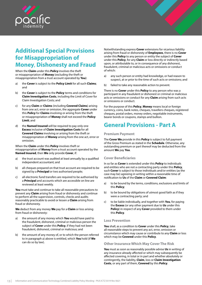<span id="page-16-0"></span>

### **Additional Special Provisions for Misappropriation of Money**, **Dishonesty and Fraud**

When the **Claim** under this **Policy** involves the theft or misappropriation of **Money** (excluding the theft or misappropriation from a trust account operated by **You**):

- a) the **Cover** is subject to the **Policy Limit** for all such **Claims**; and
- b) the **Cover** is subject to the **Policy** terms and conditions for **Claim Investigation Costs**, including the Limit of Cover for Claim Investigation Costs; and
- c) for any **Claim** or **Claims** (including **Covered Claims**) arising from one act, error or omission, the aggregate **Cover** under this **Policy** for **Claims** involving or arising from the theft or misappropriation of **Money** shall not exceed the **Policy Limit**; and
- d) the **Named Insured** will be required to pay only one **Excess** inclusive of **Claim Investigation Costs** for all **Covered Claims** involving or arising from the theft or misappropriation of **Money** arising from the one act, error or omission.

When the **Claim** under this **Policy** involves theft or misappropriation of **Money** from a trust account operated by the **Named Insured**, then **We** only provide **Cover**, if:

- a) the trust account was audited at least annually by a qualified independent accountant; and
- b) all cheques prepared on that trust account are required to be signed by a **Principal** or two authorised people;
- c) all electronic fund transfers are required to be authorised by a **Principal** and accounts which are accessible on line are reviewed at least weekly.

**You** must take and continue to take all reasonable precautions to prevent any **Claim** arising from fraud or dishonesty and continue to perform all the supervision, controls, checks and audits reasonably practicable to avoid or lessen a **Claim** arising from fraud or dishonesty.

**We** deduct from any money **We** pay for a **Claim** or loss arising from fraud or dishonesty:

- a) the amount of any money which **You** would have paid to the fraudulent, dishonest, criminal or malicious person the subject of **Cover** under this **Policy**, if they had not been fraudulent, dishonest, criminal or malicious; and
- b) the amount of any money of, or to which the person referred to in paragraph a) above is entitled, which **You** hold (if **We**  can do so by law).

Notwithstanding express **Cover** extensions for vicarious liability arising from fraud or dishonesty of **Employees**, there is no **Cover**  under this **Policy** to any person or entity the subject of **Cover** under this **Policy**, for any **Claim** or loss directly or indirectly based upon, or attributable to, or in consequence of any dishonest, fraudulent, criminal or malicious acts or omissions or conduct of which:

- a) any such person or entity had knowledge, or had reason to suspect, at or prior to the time of such acts or omissions; and
- b) failed to take any reasonable action to prevent.

There is no **Cover** under this **Policy** to any person who was a participant in any fraudulent or dishonest or criminal or malicious acts or omissions or conduct for any **Claim** arising from such acts or omissions or conduct.

For the purpose of this **Policy**, **Money** means local or foreign currency, coins, bank notes, cheques, travellers cheques, registered cheques, postal orders, money orders, negotiable instruments, bearer bonds or coupons, stamps and bullion.

## **General Provisions - Part A**

#### **Premium Payment**

The **Cover We** provide in this **Policy** is subject to full payment of the Gross Premium as stated in the **Schedule**. Otherwise, any outstanding premium or part thereof may be deducted from the amount **We** pay **You**.

#### **Cover Beneficiaries**

In so far as **Cover** is extended under this **Policy** to individuals and entities who are not a contracting party under this **Policy**, such **Cover** is subject to those individuals and/or entities (as the case may be) agreeing in writing within a reasonable time of notification to **Us** of the **Claim** or **Covered Claim**:

- a) to be bound by the terms, conditions, exclusions and limits of this **Policy**;
- b) to be bound by obligations of utmost good faith as if they were a contracting party; and
- c) to be liable individually, and together with **You**, for paying the **Excess** (or any other payment due to **Us** under this **Policy**) in respect of any **Cover** provided to them under this **Policy**.

#### **Loss Prevention**

**You** shall, as a condition to **Cover** under this **Policy**, take all reasonable steps to prevent any act, error, omission or circumstance which may cause or contribute to any **Claim** or loss which may be **Covered** under this **Policy**.

#### **Other Insurance Which May Cover The Risk**

**You** must as soon as reasonably possible advise **Us** in writing of any insurance already affected or which may subsequently be affected covering, in total or in part and whether absolutely or contingently, the liability, **Claim**, loss or **Claim Investigation Costs**, or any part of them, **Covered** by this **Policy**.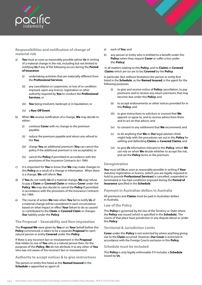<span id="page-17-0"></span>

**Responsibilities and notification of change of material risk**

- a) **You** must as soon as reasonably possible advise **Us** in writing of a material change in the risk, including but not limited to notifying **Us** if any of the following occurs during the **Period of Insurance**:
	- (i) undertaking activities that are materially different from the **Professional Services**;
	- (ii) any cancellation or suspension, or loss of or condition imposed, upon any licence, registration or other authority required by **You** to conduct the **Professional Services**; or
	- (iii) **You** being insolvent, bankrupt or in liquidation; or
	- (iv) a **Run-Off Event**.
- b) When **We** receive notification of a change, **We** may decide to either:
	- (i) continue **Cover** with no change to the premium payable;
	- (ii) reduce the premium payable and return any refund to the **You**;
	- (iii) charge **You** an additional premium (**You** can cancel the policy if the additional premium is not acceptable); or
	- (iv) cancel the **Policy** if permitted in accordance with the provisions of the Insurance Contracts Act 1984.
- c) It is important for **You** to know that **We** may make changes to this **Policy** as a result of a change in information. When there is a change, **We** will inform **You**.
- d) If **You** do not notify **Us** of a material change, **We** may refuse to pay a **Claim** or **Covered Claim** or reduce **Cover** under the **Policy**. **We** may also decide to cancel the **Policy** if permitted in accordance with the provisions of the Insurance Contracts Act 1984.
- e) The course of action **We** take when **You** fail to notify **Us** of a material change will be considered in each circumstance based on what impact or effect **Your** failure to do so caused or contributed to the **Claim** or **Covered Claim** or changes **Our** liability under the **Policy**.

#### **The Proposal – Severability and Non-imputation**

The **Proposal We** were given by **You** or on **Your** behalf before this **Policy** commenced, is taken to be a separate **Proposal** for each natural person or entity **Covered** under this **Policy**.

If there is any incorrect fact or misstatement in the **Proposal**  that relates to one of **You** who is a natural person then, for the purposes of this **Policy**, **We** do not attribute it to any other of **You** who was not aware of the incorrect fact or misstatement.

#### **Authority to accept notices & to give instructions**

The person or entity first listed as the **Named Insured** in the **Schedule** is appointed as agent of:

- a) each of **You**; and
- b) any person or entity who is entitled to a benefit under this **Policy** (when they request **Cover** or suffer a loss under this **Policy**)

in all matters relating to this **Policy**, and to **Claims** or **Covered Claims** which are (or are to be) **Covered** by the **Policy**.

In particular (but without limitation) the person or entity first listed in the **Schedule**, as the **Named Insured**, is the agent for the following purposes:

- (i) to give and receive notice of **Policy** cancellation, to pay premiums and to receive any return premiums that may become due under this **Policy**; and
- (ii) to accept endorsements or other notices provided for in this **Policy**; and
- (iii) to give instructions to solicitors or counsel that **We**  appoint or agree to, and to receive advice from them and to act on that advice; and
- (iv) to consent to any settlement that **We** recommend; and
- (v) to do anything that **We** or **Our** legal advisers think might help with the procedures set out in this **Policy** for settling and defending **Claims** or **Covered Claims**; and
- (vi) to give **Us** information relevant to this **Policy**, which **We**  can rely on when **We** decide whether to accept the risk, and set the **Policy** terms or the premium.

#### **Deregistration**

**You** must tell **Us** as soon as reasonably possible in writing if **Your** statutory registration or licence, (which you are legally required to hold to provide **Professional Services)** is cancelled, suspended or terminated or has had conditions imposed during the **Period of Insurance** specified in the **Schedule**.

#### **Payment in Australian dollars in Australia**

All premiums and **Claims** must be paid in Australian dollars in Australia.

#### **Law of the Policy**

This **Policy** is governed by the law of the Territory or State where the **Policy** was issued (which is specified in the **Schedule**). The courts of that place have jurisdiction in any dispute about or under this **Policy**.

#### **Territorial & Jurisdiction Limits**

**Cover** under this **Policy** is not restricted by where anything giving rise to the **Claim** occurred. However, **Our Cover** is restricted in accordance with the Foreign Courts exclusion in this **Policy**.

#### **Schedule must be included**

This **Policy** is only legally enforceable if it includes a **Schedule** issued by **Us**.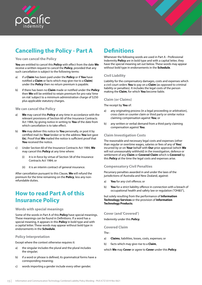<span id="page-18-0"></span>



## **Cancelling the Policy - Part A**

#### **You can cancel the Policy**

**You** are entitled to cancel this **Policy** with effect from the date **We**  receive a written request to cancel the **Policy**, provided that any such cancellation is subject to the following terms:

- a) if a **Claim** has been paid under the **Policy** or if **You** have notified a **Claim** or facts which may give rise to a **Claim**) under the **Policy** then no return premium is payable.
- b) if there has been no **Claim** made or notified under the **Policy** then **We** will be entitled to retain premium for pro-rata 'time on risk' subject to a minimum administration charge of \$250 plus applicable statutory charges.

#### **We can cancel the Policy**

- a) **We** may cancel this **Policy** at any time in accordance with the relevant provisions of Section 60 of the Insurance Contracts Act 1984, by giving notice in writing to **You** of the date from which cancellation is to take effect.
- b) **We** may deliver this notice to **You** personally, or post it by certified mail (to **Your** broker or to the address **You** last gave **Us**). Proof that **We** mailed the notice is sufficient proof that **You** received the notice.
- c) Under Section 60 of the Insurance Contracts Act 1984, **We**  may cancel this **Policy** at any time where:
	- (i) it is in force by virtue of Section 58 of the Insurance Contracts Act 1984; or
	- (ii) it is an interim contract of general insurance.

After cancellation pursuant to this Clause, **We** will refund the premium for the time remaining on the **Policy**, less any nonrefundable duties.

### **How to read Part A of this Insurance Policy**

#### **Words with special meanings**

Some of the words in Part A of this **Policy** have special meanings. These meanings can be found in Definitions. If a word has a special meaning, it appears in this **Policy** in bold type and with a capital letter. These words may appear without bold type in endorsements in the **Schedule**.

#### **Policy Interpretation**

Except where the context otherwise requires it:

- a) the singular includes the plural and the plural includes the singular;
- b) if a word or phrase is defined, its grammatical forms have a corresponding meaning;
- c) words importing a gender include every other gender.

### **Definitions**

Whenever the following words are used in Part A - Professional Indemnity **Policy** are in bold type and with a capital letter, they have the special meaning set out below. These words may appear without bold type in endorsements in the **Schedule**.

#### **Civil Liability**

Liability for the compensatory damages, costs and expenses which a civil court orders **You** to pay on a **Claim** (as opposed to criminal liability or penalties). It includes the legal costs of the person making the **Claim**, for which **You** become liable.

#### **Claim (or Claims)**

The receipt by **You** of:

- a) any originating process (in a legal proceeding or arbitration), cross claim or counter claim or third party or similar notice claiming compensation against **You**; or
- b) any written or verbal demand from a third party claiming compensation against **You**.

#### **Claim Investigation Costs**

The reasonable and necessary legal costs and expenses (other than regular or overtime wages, salaries or fees of any of **You**) incurred by or on **Your** behalf with **Our** prior approval (which **We** will not unreasonably withhold) in the investigation, defence or settlement of any **Claim** or **Covered Claim** which is **Covered** by this **Policy** at the time the legal costs and expenses arise.

#### **Compensatory Civil Penalties**

Pecuniary penalties awarded in and under the laws of the jurisdictions of Australia and New Zealand, against:

- a) **You** for any civil offence; or
- b) **You** for a strict liability offence in connection with a breach of occupational health and safety law or regulation ("OH&S"),

but solely resulting from the performance of **Information Technology Services** or the provision of **Information Technology Products**.

#### **Cover (and 'Covered')**

Indemnity under this **Policy**.

#### **Covered Claim**

The :

- a) **Claims**, liabilities, losses, costs, expenses; or
- b) facts which may give rise to a **Claim**,

#### which **We** may **Cover** or agree to **Cover** under this **Policy**.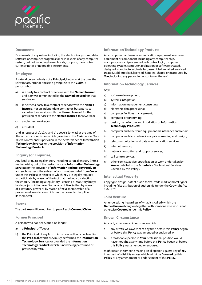<span id="page-19-0"></span>

### **Documents**

Documents of any nature including the electronically stored data, software or computer programs for or in respect of any computer system; but not including bearer bonds, coupons, bank notes, currency notes or negotiable instruments.

#### **Employee**

A natural person who is not a **Principal**, but who at the time the relevant act, error or omission giving rise to the **Claim**, a person who:

- a) is a party to a contract of service with the **Named Insured** and is or was remunerated by the **Named Insured** for that service; or
- b) is neither a party to a contract of service with the **Named Insured**, nor an independent contractor, but a party to a contract for services with the **Named Insured** for the provision of services to the **Named Insured** for reward; or
- c) a volunteer worker; or
- d) a student,

and in respect of a), b), c) and d) above is (or was) at the time of the act, error or omission which gave rise to the **Claim** under **Your** direct control and supervision in the performance of **Information Technology Services** or the provision of **Information Technology Products**.

#### **Enquiry (or Enquiries)**

Any legal or quasi legal enquiry including coronial enquiry (into a matter arising out of the performance of **Information Technology Services** or the provision of **Information Technology Products** and such matter is the subject of and is not excluded from **Cover** under this **Policy**) in respect of which **You** are legally required to participate by reason of the fact that the body conducting the enquiry (including a regulatory, licensing or statutory body) has legal jurisdiction over **You** or any of **You** (either by reason of a statutory power or by reason of **Your** membership of a professional association which has the power to discipline its members).

#### **Excess**

The part **You** will be required to pay of each **Covered Claim**.

#### **Former Principal**

A person who has been, but is no longer:

- a) a **Principal** of **You**; or
- b) the **Principal** of any firm or incorporated body declared in the **Proposal**, which previously performed the **Information Technology Services** or provided the **Information Technology Products** which is now being performed or provided by **You**.

#### **Information Technology Products**

Any computer hardware, communication equipment, electronic equipment or component including any computer chip, microprocessor chip or embedded control logic, computer operating system, computer application or software created, designed, manufactured, installed, assembled, repaired, serviced, treated, sold, supplied, licensed, handled, shared or distributed by **You**, including any packaging or container thereof.

#### **Information Technology Services**

Any:

- a) software development;
- b) systems integration;
- c) information management consulting;
- d) electronic data processing;
- e) computer facilities management;
- f) computer programming;
- g) design, manufacture and installation of **Information Technology Products**;
- h) computer and electronic equipment maintenance and repair;
- i) computer and data network analysis, consulting and design;
- j) telecommunication and data communication services;
- k) internet services;
- l) network consulting and support services;
- m) call centre services;
- n) other service, advice, specification or work undertaken by **You** as detailed in the **Schedule** – "Professional Services Covered by this Policy".

#### **Intellectual Property**

Copyright, design, patent, trade secret, trade mark or moral rights, including false attribution of authorship (under the Copyright Act 1968 Cth).

#### **Joint Venture**

An undertaking (regardless of what it is called) which the **Named Insured** carry on together with someone else who is not otherwise **Covered** under this **Policy**.

#### **Known Circumstance**

Any fact, situation or circumstance which:

- a) any of **You** was aware of at any time before this **Policy** began or before this **Policy** was amended or endorsed; or
- b) a reasonable person in **Your** professional position would have thought, at any time before this **Policy** began or before this **Policy** was amended or endorsed,

might result in someone making an allegation against any of **You**  in respect of a liability or loss which might be **Covered** by this **Policy** or any amendment or endorsement of this **Policy**.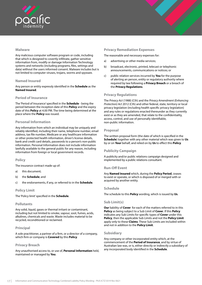<span id="page-20-0"></span>

#### **Malware**

Any malicious computer software program or code, including that which is designed to covertly infiltrate, gather sensitive information from, modify or damage Information Technology systems and networks (including programs, files, settings and data) without the users informed consent. Malware includes but is not limited to computer viruses, trojans, worms and spyware.

#### **Named Insured**

Any person or entity expressly identified in the **Schedule** as the **Named Insured**.

#### **Period of Insurance**

The 'Period of Insurance' specified in the **Schedule** - being the period between the inception date of this **Policy** and the expiry date of this **Policy** at 4.00 PM. The time being determined at the place where the **Policy** was issued.

#### **Personal Information**

Any information from which an individual may be uniquely and reliably identified, including their name, telephone number, email address, tax file number, Medicare or any healthcare information or other protected health information, driver's license details, bank and credit card details, passwords to a person's non-public information. Personal Information does not include information lawfully available to the general public for any reason, including information from foreign or local government records.

#### **Policy**

The insurance contract made up of:

- a) this document;
- b) the **Schedule**; and
- c) the endorsements, if any, or referred to in the **Schedule**.

#### **Policy Limit**

The 'Policy limit' specified in the **Schedule**.

#### **Pollutants**

Any solid, liquid, gases or thermal irritant or contaminant, including but not limited to smoke, vapour, soot, fumes, acids, alkalines, chemicals and waste. Waste includes material to be recycled, reconditioned or reclaimed.

#### **Principal**

A sole practitioner, a partner of a firm, or a director of a company, which firm or company is **Covered** by this **Policy**.

#### **Privacy Breach**

Any unauthorised access to, or use of, **Personal Information** held, maintained or managed by **You**.

#### **Privacy Remediation Expenses**

The reasonable and necessary expenses for:

- a) advertising or other media services;
- b) broadcast, electronic, printed, telecast or telephonic announcements, communications or notices; or
- c) public relation services incurred by **You** for the purpose of alerting an person, entity or regulatory authority where required by law following a **Privacy Breach** or a breach of the **Privacy Regulations**.

#### **Privacy Regulations**

The *Privacy Act* (1988) (Cth) and the *Privacy Amendment (Enhancing Protection) Act* 2012 (Cth) and other federal, state, territory or local privacy legislation (including health specific privacy legislation) and any rules or regulations enacted thereunder as they currently exist or as they are amended, that relate to the confidentiality, access, control, and use of personally identifiable, non-public information.

#### **Proposal**

The written proposal form (the date of which is specified in the **Schedule**) together with any other material which was given to **Us** by or on **Your** behalf, and relied on by **Us** to effect this **Policy**.

#### **Publicity Campaign**

A publicity and/or public relations campaign designed and implemented by a public relations consultant.

#### **Run-Off Event**

Any **Named Insured** which, during the **Policy Period**, ceases to exist or operate, or which is disposed of or merged with or acquired by another entity.

#### **Schedule**

The schedule to this **Policy** wording, which is issued by **Us**.

#### **Sub Limit(s)**

**Our** liability of **Cover** for each of the matters referred to in this **Policy** as being subject to a Sub Limit of **Cover**. If this **Policy**  indicates any Sub Limits for specific types of **Cover** under this **Policy**, then the applicable Sub Limits and not the **Policy Limit** apply only to these **Claims**. These Sub Limits are included within and not in addition to the **Policy Limit**.

#### **Subsidiary**

Any company or other incorporated entity which, at the commencement of the **Period of Insurance**, and by virtue of Australian law was, or is, either directly or indirectly a subsidiary of any incorporated body identified in the **Schedule**.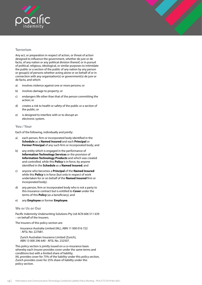<span id="page-21-0"></span>

#### **Terrorism**

Any act, or preparation in respect of action, or threat of action designed to influence the government, whether de jure or de facto, of any nation or any political division thereof, or in pursuit of political, religious, ideological, or similar purposes to intimidate the public or a section of the public of any nation by any person or group(s) of persons whether acting alone or on behalf of or in connection with any organisation(s) or government(s) de jure or de facto, and which:

- a) involves violence against one or more persons; or
- b) involves damage to property; or
- c) endangers life other than that of the person committing the action; or
- d) creates a risk to health or safety of the public or a section of the public; or
- e) is designed to interfere with or to disrupt an electronic system.

#### **You / Your**

Each of the following, individually and jointly:

- a) each person, firm or incorporated body identified in the **Schedule** as a **Named Insured** and each **Principal** or **Former Principal** of any such firm or incorporated body; and
- b) any entity which is engaged in the performance of **Information Technology Services** or the provision of **Information Technology Products** and which was created and controlled, while this **Policy** is in force, by anyone identified in the **Schedule** as a **Named Insured**; and
- c) anyone who becomes a **Principal** of the **Named Insured**  while this **Policy** is in force (but only in respect of work undertaken for or on behalf of the **Named Insured** firm or incorporated body).
- d) any person, firm or incorporated body who is not a party to this insurance contract but is entitled to **Cover** under the terms of this **Policy** (as a beneficiary); and
- e) any **Employee** or former **Employee**.

#### **We or Us or Our**

Pacific Indemnity Underwriting Solutions Pty Ltd ACN 606 511 639 – on behalf of the Insurers.

The Insurers of this policy section are:

Insurance Australia Limited (IAL), ABN 11 000 016 722 - AFSL No: 227681.

Zurich Australian Insurance Limited (Zurich), ABN 13 000 296 640 - AFSL No. 232507.

This policy section is jointly issued on a co-insurance basis whereby each Insurer provides cover under the same terms and conditions but with a limited share of liability. IAL provides cover for 75% of the liability under this policy section, Zurich provides cover for 25% share of liability under this policy section.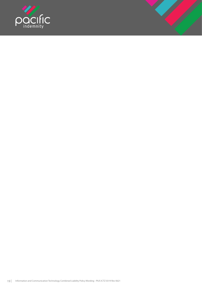

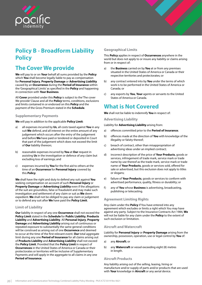<span id="page-23-0"></span>

### **Policy B - Broadform Liability Policy**

## **The Cover We provide**

**We** will pay to or on **Your** behalf all sums provided by the **Policy**  which **You** shall become legally liable to pay as compensation for **Personal Injury**, **Property Damage** or **Advertising Liability**  caused by an **Occurrence** during the **Period of Insurance** within the 'Geographical Limits' as specified in the **Policy** and happening in connection with **Your Business**.

All **Cover** provided under this **Policy** is subject to the'The cover We provide' Clause and all the **Policy** terms, conditions, exclusions and limits contained in or endorsed on this **Policy** and the payment of the Gross Premium stated in the **Schedule**.

#### **Supplementary Payments**

**We** will pay in addition to the applicable **Policy Limit**:

- a) all expenses incurred by **Us**, all costs taxed against **You** in any suit **We** defend, and all interest on the entire amount of any judgement which occurs after the entry of the judgement and before **We** have paid or tendered or deposited in Court that part of the judgement which does not exceed the limit of **Our** liability thereon;
- b) reasonable expenses incurred by **You** at **Our** request in assisting **Us** in the investigation or defence of any claim but excluding loss of earnings; and
- c) expenses incurred by **You** for the first aid to others at the time of an **Occurrence** for **Personal Injury** covered by this **Policy**.

**We** shall have the right and duty to defend any suit against **You**  seeking compensation on account of such **Personal Injury** or **Property Damage** or **Advertising Liability** even if the allegations of the suit are groundless, false or fraudulent and may make such investigation and settlement of any claim or suit as **We** deem expedient. **We** shall not be obliged to pay any claim or judgement or to defend any suit after **We** have paid the **Policy Limit**.

#### **Limit of Liability**

**Our** liability in respect of any one **Occurrence** shall not exceed the **Policy Limit** stated in the **Schedule** for **Public Liability**, **Products Liability** and **Advertising Liability**. All **Personal Injury**, **Property Damage** and **Advertising Liability** arising out of continuous or repeated exposure to substantially the same general conditions will be construed as arising out of one **Occurrence** and deemed to occur at the time of the first relevant event. **Our** total aggregate limit during any one **Period of Insurance** for all claims arising out of **Products Liability** and **Advertising Liability** shall not exceed the **Policy Limit**. Provided that the **Policy Limit** in respect of **Occurrences** in the United States of America or Canada or their protectorates or territories will be inclusive of Supplementary Payments and will apply in the aggregate to all claims in any one **Period of Insurance**.

#### **Geographical Limits**

This **Policy** applies in respect of **Occurrences** anywhere in the world but does not apply to or insure any liability or claims arising from or in respect of:

- a) the **Business** carried on by **You** at or from any premises situated in the United States of America or Canada or their respective territories and protectorates; or
- b) any contract entered into by **You** under the terms of which work is to be performed in the United States of America or Canada; or
- c) any exports by **You**, **Your** agents or servants to the United States of America or Canada.

### **What is Not Covered**

**We** shall not be liable to indemnify **You** in respect of:

#### **Advertising Liability**

Liability for **Advertising Liability** arising from:

- a) offences committed prior to the **Period of Insurance**;
- b) offences made at the direction of **You** with knowledge of the illegality or falsity thereof;
- c) breach of contract, other than misappropriation of advertising ideas under an implied contract;
- d) incorrect description of the price of **Your Products**, goods or services, infringement of trade mark, service mark or trade name by use thereof as the trade mark, service mark or trade name of **Your Products**, goods or services sold, offered for sale or advertised, but this exclusion does not apply to titles or slogans;
- e) failure of **Your Products**, goods or services to conform with advertised performance, quality, fitness or durability; or
- f) any of **You** whose **Business** is advertising, broadcasting, publishing or telecasting.

#### **Agreement Limiting Rights**

Any claim under the **Policy** if You have entered into any agreement which excludes or limits a right which You may have against any party. Subject to the Insurance Contracts Act 1984, **We** will not be liable for any claim under the **Policy** to the extent of such exclusion or limitation.

#### **Aircraft and Watercraft**

Liability for **Personal Injury** or **Property Damage** arising from the ownership, possession, operation, use or legal control by **You** of:

- a) any **Aircraft**; or
- b) any **Watercraft** or vessel exceeding eight (8) metres in length.

#### **Aircraft Products**

Any liability arising out of the selling, leasing, hiring or manufacture and/or supply of parts and/or products that are used with **Your** knowledge in **Aircraft** or any aerial device.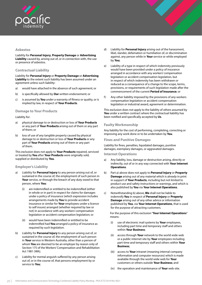<span id="page-24-0"></span>

#### **Asbestos**

Liability for **Personal Injury**, **Property Damage** or **Advertising Liability** caused by, arising out of, or in connection with, the use or presence of asbestos.

#### **Contractual Liability**

Liability for **Personal Injury** or **Property Damage** or **Advertising Liability** to the extent such liability has been assumed under an agreement unless such liability:

- a) would have attached in the absence of such agreement; or
- b) is specifically allowed by **Our** written endorsement; or
- c) is assumed by **You** under a warranty of fitness or quality, or is implied by law, in respect of **Your Products**.

#### **Damage to Your Products**

#### Liability for:

- a) physical damage to or destruction or loss of **Your Products**  or any part of **Your Products** arising out of them or any part of them; or
- b) loss of use of any tangible property caused by physical damage to or destruction or loss of **Your Products** or any part of **Your Products** arising out of them or any part of them.

This exclusion does not apply to **Your Products** repaired, serviced or treated by **You** after **Your Products** were originally sold, supplied or distributed by **You**.

#### **Employer's Liability**

- a) Liability for **Personal Injury** to any person arising out of, or sustained in the course of, the employment of such person in **Your** service, or through the breach of any duty owed to that person, where **You**:
	- (i) are indemnified or entitled to be indemnified (either in whole or in part) in respect for claims for damages under a policy of insurance (which expression includes arrangements made by **You** to provide accident insurance or similar for **Your** employees under a licence to self insure) arranged (whether required by law or not) in accordance with any workers' compensation legislation or accident compensation legislation; or
	- (ii) would have been indemnified or entitled to be indemnified had **You** arranged a policy of insurance as required by such legislation.
- b) Liability for **Personal Injury** to any person arising out of, or sustained in the course of, the employment of such person in **Your** service in Western Australia, other than a person of whom **You** are deemed to be an employer by reason only of Section 175 of the Workers' Compensation and Rehabilitation Act 1981 (WA);
- c) Liability for mental anguish suffered by any person arising out of, or in the course of, that persons employment by or service to **You**;
- d) Liability for **Personal Injury** arising out of the harassment, libel, slander, defamation or humiliation of, or discrimination against, any person while in **Your** service or while employed by **You**;
- e) Liability of a type in respect of which indemnity previously would have been provided under a policy of insurance arranged in accordance with any workers' compensation legislation or accident compensation legislation, but in respect of which indemnity has been withdrawn or reduced as a consequence of a change to the scope, terms, provisions, or requirements of such legislation made after the commencement of the current **Period of Insurance**; or
- f) Any other liability imposed by the provisions of any workers compensation legislation or accident compensation legislation or industrial award, agreement or determination.

This exclusion does not apply to the liability of others assumed by **You** under a written contract where the contractual liability has been notified and specifically accepted by **Us**.

#### **Faulty Workmanship**

Any liability for the cost of performing, completing, correcting or improving any work done or to be undertaken by **You**.

**Fines and Punitive Damages**

Liability for fines, penalties, liquidated damages, punitive damages, exemplary damages, or aggravated damages.

#### **Internet Operations**

- a) Any liability, loss, damage or destruction arising, directly or indirectly, out of or in any way connected with **Your Internet Operations**.
- b) Part a) above does not apply to **Personal Injury** or **Property Damage** arising out of any material which is already in print in support of **Your Products**, including but not limited to product use and safety instructions or warnings, and which is also published by **You** via **Your Internet Operations**.
- c) Notwithstanding b) above, **We** shall not be liable to indemnify **You** in respect of **Personal Injury** or **Property Damage** arising out of any other advice or information published by **You**, via **Your Internet Operations**, that is used for the purpose of attracting customers.

For the purpose of this exclusion "**Your Internet Operations**" means:

- (i) use of electronic mail systems by **Your** employees, including part time and temporary staff and others within **Your Business**;
- (ii) access through **Your** network to the world wide web or a public internet site by **Your** employees including part-time and temporary staff and others within **Your Business**;
- (iii) access to **Your** intranet (meaning internal company information and computer resources) which is made available through the world wide web for **Your** customers or others outside **Your Business**; and
- (iv) the operation and maintenance of **Your** web-site.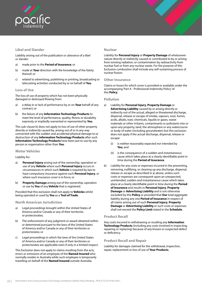<span id="page-25-0"></span>

### **Libel and Slander**

Liability arising out of the publication or utterance of a libel or slander:

- a) made prior to the **Period of Insurance**; or
- b) made at **Your** direction with the knowledge of the falsity thereof; or
- c) related to advertising, publishing or printing, broadcasting or telecasting activities conducted by or on behalf of **You**.

#### **Loss of Use**

The loss of use of property which has not been physically damaged or destroyed flowing from:

- a) a delay in or lack of performance by or on **Your** behalf of any contract; or
- b) the failure of any **Information Technology Products** to meet the level of performance, quality, fitness or durability expressly or impliedly warranted or represented by **You**.

This sub-clause b) does not apply to loss of use of other property directly or indirectly caused by, arising out of or in any way connected with the sudden and accidental physical damage to or destruction of any **Information Technology Products** after such **Information Technology Products** have been put to use by any person or organisation other than **You**.

#### **Motor Vehicles**

#### Liability for:

- a) **Personal Injury** arising out of the ownership, operation or use of any **Vehicle** where such **Personal Injury** occurs in circumstances in which such **Vehicle** is required by law to have compulsory insurance against such **Personal Injury**, or where such insurance cover is in force; or
- b) **Property Damage** arising out of the ownership, operation or use by **You** of any **Vehicle** that is registered.

Provided that this exclusion shall not apply to **Vehicles** whilst being operated or used by **You** as a **Tool of Trade**.

#### **North American Jurisdiction**

- a) Legal proceedings brought within the United States of America and/or Canada or any of their territories or protectorates;
- b) The enforcement of any judgment or award obtained within or determined pursuant to the laws of the United States of America and/or Canada or any of their territories or protectorates; or
- c) Legal proceedings in which the laws of the United States of America and/or Canada or any of their territories or protectorates are applicable even if only in a limited respect.

This Exclusion does not apply to claims resulting from the acts, errors or omissions of an employee of the **Named Insured** who normally resides in Australia while such employee is temporarily travelling on behalf of the **Named Insured** outside Australia.

#### **Nuclear**

Liability for **Personal Injury** or **Property Damage** of whatsoever nature directly or indirectly caused or contributed to by or arising from ionising radiation, or contamination by radioactivity from nuclear fuel or from any nuclear waste. For the purpose of this Exclusion combustion shall include any self-sustaining process of nuclear fission.

#### **Other Insurance**

Claims or losses for which cover is provided or available under the accompanying 'Part A - Professional Indemnity Policy' of this **Policy**.

#### **Pollution**

- a) Liability for **Personal Injury**, **Property Damage** or **Advertising Liability** caused by or arising directly or indirectly out of the actual, alleged or threatened discharge, dispersal, release or escape of smoke, vapours, soot, fumes, acids, alkalis, toxic chemicals, liquids or gases, waste materials or other irritants, contaminants or pollutants into or upon any property, land, the atmosphere or any watercourse or body of water (including groundwater) but this exclusion does not apply if the actual discharge, dispersal, release or escape:
	- (i) is neither reasonably expected nor intended by **You**; and
	- (ii) is the consequence of a sudden and instantaneous cause which takes place at a clearly identifiable point in time during the **Period of Insurance**.
- b) Liability for any costs or expenses incurred in the preventing, removing, nullifying, or cleaning up any discharge, dispersal, release or escape as described in a) above, unless such costs or expenses are consequent upon an unexpected, unintended, sudden and instantaneous cause which takes place at a clearly identifiable point in time during the **Period of Insurance** and results in **Personal Injury**, **Property Damage** or **Advertising Liability** and is not otherwise excluded by this **Policy** or provided that **Our** total aggregate liability during any one **Period of Insurance** in respect of all claims arising out of such **Personal Injury**, **Property Damage** or **Advertising Liability** or such costs or expenses shall not exceed the **Policy Limit** stated in the **Schedule**.

#### **Product Recall**

Any costs incurred in withdrawing or recalling any **Information Technology Products** (including any costs involved in inspecting, repairing or replacing) because of any known or suspected defect or deficiency.

#### **Product Recall and Repair**

Liability for damages claimed for the withdrawal, inspection, repair, replacement or loss of use of **Your Products**.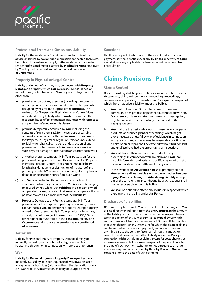<span id="page-26-0"></span>

#### **Professional Errors and Omissions Liability**

Liability for the rendering of or failure to render professional advice or service by You or error or omission connected therewith, but this exclusion does not apply to the rendering or failure to render professional medical advice by **Medical Persons** employed by **You** to provide first aid and other medical services on **Your** premises.

#### **Property in Physical or Legal Control**

Liability arising out of or in any way connected with **Property Damage** to property which **You** own, lease, hire, is loaned or rented to You, or is otherwise in **Your** physical or legal control other than:

- a) premises or part of any premises (including the contents of such premises), leased or rented to You, or temporarily occupied by **You** for the purpose of the **Business**. This exclusion for "Property in Physical or Legal Control" does not extend to any liability where **You** have assumed the responsibility to effect or maintain insurance with respect to any premises referred to In this clause;
- b) premises temporarily occupied by **You** (including the contents of such premises), for the purpose of carrying out work in connection with the **Business**. This exclusion for "Property in Physical or Legal Control" does not extend to liability for physical damage to or destruction of any premises or contents on which **You** were or are working, if such physical damage or destruction arises from such work;
- c) any other property temporarily in **Your** possession for the purpose of being worked upon. This exclusion for "Property in Physical or Legal Control" does not extend to liability for physical damage to or destruction of that part of any property on which **You** were or are working, if such physical damage or destruction arises from such work;
- d) any **Vehicle** (including its contents, spare parts and accessories while they are in or on a **Vehicle**), not belonging to or used by **You** while such **Vehicle** is in a car park owned or operated by **You**, provided that **You** do not operate the car park for reward as a principal part of the **Business**;
- e) **Property Damage** to any **Vehicle** temporarily In **Your** possession for the purpose of parking or removing from a car park such a **Vehicle** any other property (except property owned by **You**), temporarily in **Your** physical or legal care, custody or control subject to a maximum of \$250,000, or other higher amount stated in the **Schedule**, for any one **Occurrence** and in the aggregate during any one **Period of Insurance**.

#### **Terrorism**

Liability for Personal Injury or Property Damage directly or indirectly caused by or contributed to, by, or arising from or happening through or in connection with any act of Terrorism.

#### **War**

Liability for **Personal Injury** or **Property Damage** directly or indirectly caused by or in consequence of war, invasion, act of foreign enemy, hostilities (with or without the declaration of war), civil war, rebellion, insurrection, military or usurped power.

#### **Sanctions**

Liability in respect of which and to the extent that such cover, payment, service, benefit and/or any **Business** or activity of **Yours** would violate any applicable trade or economic sanctions, law or regulation.

### **Claims Provisions - Part B**

#### **Claims Control**

Notice in writing shall be given to **Us** as soon as possible of every **Occurrence**, claim, writ, summons, impending proceedings, circumstance, impending prosecution and/or inquest in respect of which there may arise a liability under this **Policy**.

- You shall not without Our written consent make any admission, offer, promise or payment in connection with any **Occurrence** or claim and **We** may make such investigation, negotiation and settlement of any claim or suit as **We**  deem expedient.
- b) **You** shall use the best endeavours to preserve any property, products, appliances, plant or other things which might prove necessary or useful by way of evidence in connection with any claim and so far as may be reasonably practicable no alteration or repair shall be effected without **Our** consent and until **We** have had the opportunity of inspection.
- c) **We** shall have full discretion in the conduct of any proceedings in connection with any claim and **You** shall give all information and assistance as **We** may require in the prosecution, defence or settlement of any claim.
- d) In the event of an **Occurrence**, **You** shall promptly take at **Your** expense all reasonable steps to prevent other **Personal Injury**, **Property Damage** or **Advertising Liability** arising out of the same or similar conditions, but such expense shall not be recoverable under this **Policy**.
- e) **We** shall be entitled to attend any inquest in respect of which there may arise liability under this **Policy**.

#### **Discharge of Liabilities**

**We** may at any time pay to **You** in respect of all claims against **You**  arising directly or indirectly from the one **Occurrence** the amount of the liability or such other amount specified in respect thereof (after deduction of any sum or sums already paid by **Us** which sum or sums would reduce the amount of **Our** unfulfilled liability in respect thereof) or any lesser sum for which the claim or claims can be settled and upon such payment, and notwithstanding anything else to the contrary, **We** shall relinquish conduct or control of and be under no further liability under the **Policy** in connection with such claim or claims except for costs charges or expenses recoverable from **You** in respect of the period prior to the date of such payment (whether or not pursuant to an order made subsequently) or incurred by **Us** or by **You** with **Our** written consent prior to the date of such payments.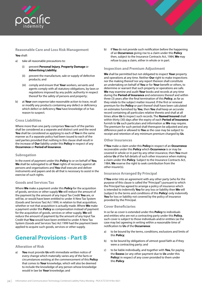<span id="page-27-0"></span>

#### **Reasonable Care and Loss Risk Management**

#### **You** shall:

- a) take all reasonable precautions to:
	- (i) prevent **Personal Injury**, **Property Damage** or **Advertising Liability**;
	- (ii) prevent the manufacture, sale or supply of defective products; and
	- (iii) comply and ensure that **Your** workers, servants and agents comply with all statutory obligations, by-laws or regulations imposed by any public authority in respect thereof for the safety of persons and property;
- b) at **Your** own expense take reasonable action to trace, recall or modify any products containing any defect or deficiency which defect or deficiency **You** have knowledge of or has reason to suspect.

#### **Cross Liabilities**

Where more than one party comprises **You** each of the parties shall be considered as a separate and distinct unit and the word **You** shall be considered as applying to each of **You** in the same manner as if a separate policy had been issued to each of the said parties provided that nothing in this clause shall result in the increase of **Our** liability under this **Policy** in respect of any **Occurrence** or **Period of Insurance**.

#### **Subrogation**

In the event of payment under this **Policy** to or on behalf of **You**, **We** shall be subrogated to all **Your** rights of recovery against all persons and organisations and **You** shall execute and deliver instruments and papers and do all that is necessary to assist in the exercise of such rights.

#### **Goods and Services Tax**

Where **We** make a payment under this **Policy** for the acquisition of goods, services or other supply **We** will reduce the amount of the payment by the amount of any Input Tax Credit **You** are, or will be, or would have been entitled to under A New Tax System (Goods and Services Tax) Act 1999, in relation to that acquisition, whether or not that acquisition is actually made. Where **We** make a payment under this **Policy** as compensation instead of payment for the acquisition of goods, services or other supply, **We** will reduce the amount of payment by the amount of any Input Tax Credit that **You** would have been entitled to under A New Tax System (Goods and Services Tax) Act 1999 had the payment been applied to acquire such goods, services or other supply.

### **General Provisions - Part B**

#### **Alteration of Risk**

a) **You** must provide **Us** with immediate written notice of every change which materially varies any of the facts or circumstances existing at the commencement of this **Policy**  that comes to **Your** knowledge, which will also be deemed to include the knowledge of any person whose knowledge would in law be **Your** knowledge; and

b) If **You** do not provide such notification before the happening of an **Occurrence** giving rise to a claim under this **Policy**  then, subject to the Insurance Contracts Act, 1984, **We** may refuse to pay a claim, either in whole or in part.

#### **Inspection and Premium Adjustment**

**We** shall be permitted but not obligated to inspect **Your** property and operations at any time. Neither **Our** right to make inspections nor the making thereof nor any report thereon shall constitute an undertaking on behalf of **You** or for **Your** benefit or others, to determine or warrant that such property or operations are safe. **We** may examine and audit **Your** books and records at any time during the **Period of Insurance** and extensions thereof and within three (3) years after the final termination of this **Policy**, as far as they relate to the subject matter insured. If the first or renewal premium for the **Policy** or part thereof shall have been calculated on estimates furnished by **You**, then **You** shall keep an accurate record containing all particulars relative thereto and shall at all times allow **Us** to inspect such records. The **Named Insured** shall within thirty (30) days after the expiry of each **Period of Insurance**  furnish to **Us** such particulars and information as **We** may require. The premium for such period shall thereupon be adjusted and any difference paid or allowed to **You** as the case may be subject to receipt and retention of any minimum premium charged by **Us**.

#### **Other Insurances**

If **You** make a claim under this **Policy** in respect of an **Occurrence**  recoverable under this **Policy** which **Occurrence** is or may be covered in whole or in part by any other insurance, then **You** must advise **Us** of the full details of such other insurance when making a claim under this **Policy**. Subject to the Insurance Contracts Act, 1984, **We** reserve the right to seek contribution from the other insurer(s).

#### **Insurance Arranged By Principal**

If **You** enter into an agreement with any other party (who for the purpose of this clause is called the "Principal") pursuant to which the Principal has agreed to arrange a policy of insurance which is intended to indemnify **You** for any loss or liability then **We** will (subject to the terms and conditions of this **Policy**) only indemnify **You** for loss or liability not covered by the policy of insurance provided by the Principal.

#### **Cover Beneficiaries**

In so far as cover is extended under this **Policy** to individuals and entities who are not a contracting party under this **Policy**, such cover is subject to those individuals and/or entities (as the case may be) agreeing in writing within a reasonable time of notification to **Us** of the **Occurrence**:

- a) to be bound by the terms, conditions, exclusions and limits of this **Policy**;
- b) to be bound by obligations of utmost good faith as if they were a contracting party; and
- c) to be liable individually, and together with **You**, for paying the **Excess** (or any other payment due to **Us** under this **Policy**) in respect of any cover provided to them under this **Policy**.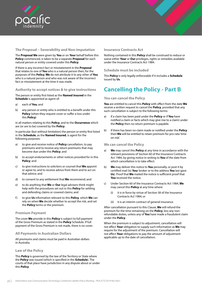<span id="page-28-0"></span>

#### **The Proposal – Severability and Non-imputation**

The **Proposal We** were given by **You** or on **Your** behalf before this **Policy** commenced, is taken to be a separate **Proposal** for each natural person or entity covered under this **Policy**.

If there is any incorrect fact or misstatement in the **Proposal**  that relates to one of **You** who is a natural person then, for the purposes of this **Policy**, **We** do not attribute it to any other of **You**  who is a natural person and who was not aware of the incorrect fact or misstatement at the time it was made.

#### **Authority to accept notices & to give instructions**

The person or entity first listed as the **Named Insured** in the **Schedule** is appointed as agent of:

- a) each of **You**; and
- b) any person or entity who is entitled to a benefit under this **Policy** (when they request cover or suffer a loss under this **Policy**)

in all matters relating to this **Policy**, and to the **Occurrence** which are (or are to be) covered by the **Policy**.

In particular (but without limitation) the person or entity first listed in the **Schedule**, as the **Named Insured**, is agent for the following purposes:

- a) to give and receive notice of **Policy** cancellation, to pay premiums and to receive any return premiums that may become due under this **Policy**; and
- b) to accept endorsements or other notices provided for in this **Policy**; and
- c) to give instructions to solicitors or counsel that **We** appoint or agree to, and to receive advice from them and to act on that advice; and
- d) to consent to any settlement that **We** recommend; and
- e) to do anything that **We** or **Our** legal advisers think might help with the procedures set out in this **Policy** for settling and defending claims or covered claims; and
- f) to give **Us** information relevant to this **Policy**, which **We** can rely on when **We** decide whether to accept the risk, and set the **Policy** terms or the premium.

#### **Premium Payment**

The cover **We** provide in this **Policy** is subject to full payment of the Gross Premium as stated in the **Policy** Schedule. If full payment of the Gross Premium is not made, there is no cover.

#### **All Payments in Australian Dollars**

All premiums and claims must be paid in Australian dollars in Australia.

#### **Law of the Policy**

This **Policy** is governed by the law of the Territory or State where the **Policy** was issued (which is specified in the **Schedule**). The courts of that place have jurisdiction in any dispute about or under this **Policy**.

#### **Insurance Contracts Act**

Nothing contained in this **Policy** shall be construed to reduce or waive either **Your** or **Our** privileges, rights or remedies available under the Insurance Contracts Act 1984.

#### **Schedule must be included**

This **Policy** is only legally enforceable if it includes a **Schedule**  issued by **Us**.

### **Cancelling the Policy - Part B**

#### **You can cancel the Policy**

**You** are entitled to cancel this **Policy** with effect from the date **We**  receive a written request to cancel the **Policy**, provided that any such cancellation is subject to the following terms:

- a) if a claim has been paid under the **Policy** or if **You** have notified a claim or facts which may give rise to a claim) under the **Policy** then no return premium is payable.
- b) if there has been no claim made or notified under the **Policy** then **We** will be entitled to retain premium for pro-rata 'time on risk'.

#### **We can cancel the Policy**

- a) **We** may cancel this **Policy** at any time in accordance with the relevant provisions of Section 60 of the Insurance Contracts Act 1984, by giving notice in writing to **You** of the date from which cancellation is to take effect.
- b) **We** may deliver this notice to **You** personally, or post it by certified mail (to **You**r broker or to the address **You** last gave **Us**). Proof that **We** mailed the notice is sufficient proof that **You** received the notice.
- c) Under Section 60 of the Insurance Contracts Act 1984, **We**  may cancel this **Policy** at any time where:
	- (i) it is in force by virtue of Section 58 of the Insurance Contracts Act 1984; or
	- (ii) it is an interim contract of general insurance.

After cancellation pursuant to this Clause, **We** will refund the premium for the time remaining on the **Policy**, less any nonrefundable duties, unless any of **You** have made a fraudulent claim under the **Policy**.

When the premium is subject to adjustment, cancellation will not affect **Your** obligation to supply such information as **We** may require for the adjustment of the premium. Cancellation will not affect **Your** obligations to pay the amount of adjustment applicable up to the date of cancellation.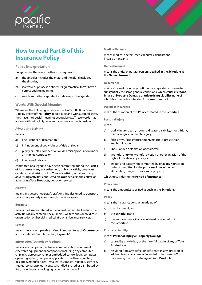<span id="page-29-0"></span>



### **How to read Part B of this Insurance Policy**

#### **Policy Interpretation**

Except where the context otherwise requires it:

- a) the singular includes the plural and the plural includes the singular;
- b) if a word or phrase is defined, its grammatical forms have a corresponding meaning;
- c) words importing a gender include every other gender.

#### **Words With Special Meaning**

Whenever the following words are used in Part B - Broadform Liability Policy of this **Policy** in bold type and with a capital letter, they have the special meanings set out below. These words may appear without bold type in endorsements in the **Schedule**.

#### **Advertising Liability**

#### means:

- a) libel, slander or defamation:
- b) infringement of copyright or of title or slogan;
- c) piracy or unfair competition or idea misappropriation under an implied contract; or
- d) invasion of privacy,

committed or alleged to have been committed during the **Period of Insurance** in any advertisement, publicity article, broadcast or telecast and arising out of **Your** advertising activities or any advertising activities conducted on **Your** behalf in the course of advertising **Your Products**, goods or services.

#### **Aircraft**

means any vessel, hovercraft, craft or thing designed to transport persons or property in or through the air or space.

#### **Business**

means the business stated in the **Schedule** and shall include the activities of any canteen, social, sports, welfare and /or child care organisation or first aid, medical, fire or ambulance services.

#### **Excess**

means the amount payable by **You** in respect to each **Occurrence**  and includes all "Supplementary Payments".

#### **Information Technology Products**

means any computer hardware, communication equipment, electronic equipment or component including any computer chip, microprocessor chip or embedded control logic, computer operating system, computer application or software created, designed, manufactured, installed, assembled, repaired, serviced, treated, sold, supplied, licensed, handled, shared or distributed by **You**, including any packaging or container thereof.

#### **Medical Persons**

means medical doctors, medical nurses, dentists and first aid attendants.

#### **Named Insured**

means the entity or natural person specified in the **Schedule** as the **Named Insured**.

#### **Occurrence**

means an event including continuous or repeated exposure to substantially the same general conditions, which causes **Personal Injury** or **Property Damage** or **Advertising Liability** none of which is expected or intended from **Your** standpoint.

#### **Period of Insurance**

means the duration of this **Policy** as stated in the **Schedule**.

#### **Personal Injury**

means:

- a) bodily injury, death, sickness, disease, disability, shock, fright, mental anguish or mental injury;
- b) false arrest, false imprisonment, malicious prosecution and humiliation;
- c) libel, slander, defamation of character;
- d) wrongful entry or wrongful eviction or other invasion of the right of private occupancy; or
- e) assault and battery not committed by or at **Your** direction unless committed for the purpose of preventing or eliminating danger to persons or property,

#### which occurs during the **Period of Insurance**.

#### **Policy Limit**

means the amount(s) specified as such in the **Schedule**.

#### **Policy**

means the insurance contract made up of:

- a) this document; and
- b) the **Schedule**; and
- c) the endorsements, if any, contained or referred to in the **Schedule**.

#### **Products Liability**

#### means **Personal Injury** or **Property Damage**:

- a) caused by any defect, or the harmful nature of any of **Your Products**; or
- b) resulting from any defect or deficiency in any direction or advice given at any time or intended to be given by **You**  concerning the use or storage of **Your Products**.